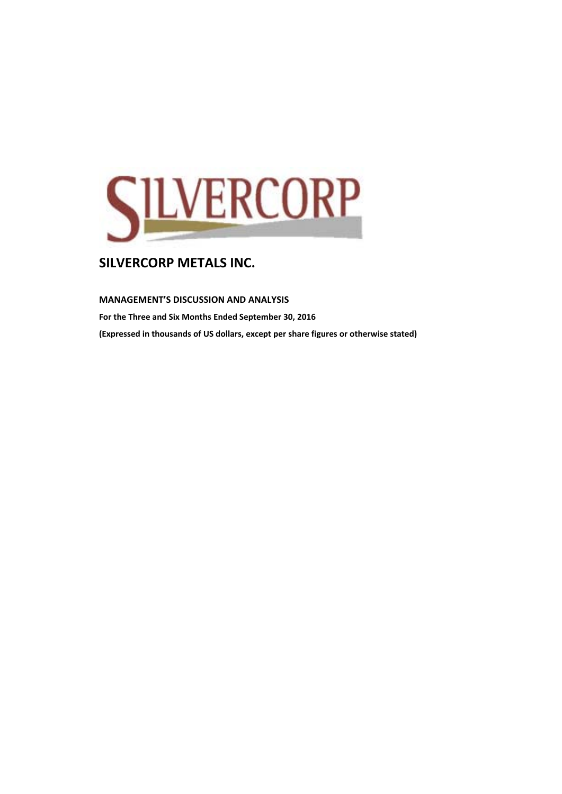

#### **MANAGEMENT'S DISCUSSION AND ANALYSIS**

**For the Three and Six Months Ended September 30, 2016 (Expressed in thousands of US dollars, except per share figures or otherwise stated)**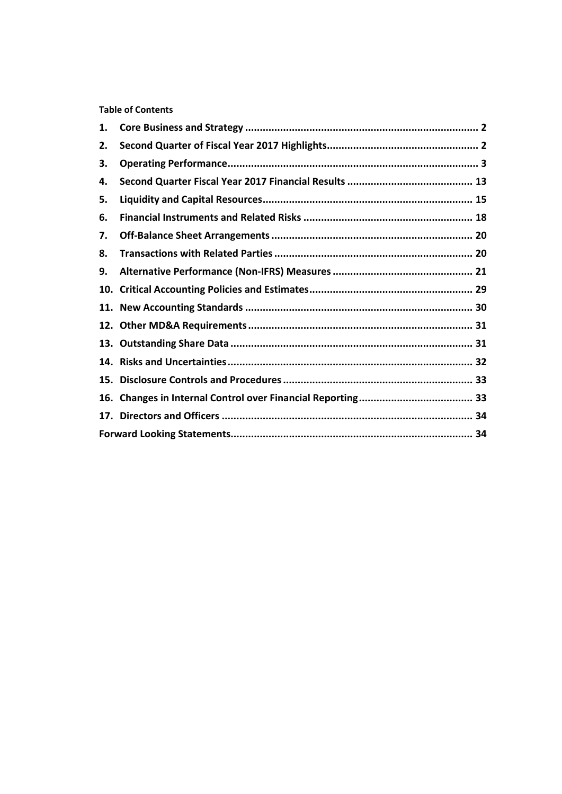**Table of Contents** 

| 1. |  |
|----|--|
| 2. |  |
| З. |  |
| 4. |  |
| 5. |  |
| 6. |  |
| 7. |  |
| 8. |  |
| 9. |  |
|    |  |
|    |  |
|    |  |
|    |  |
|    |  |
|    |  |
|    |  |
|    |  |
|    |  |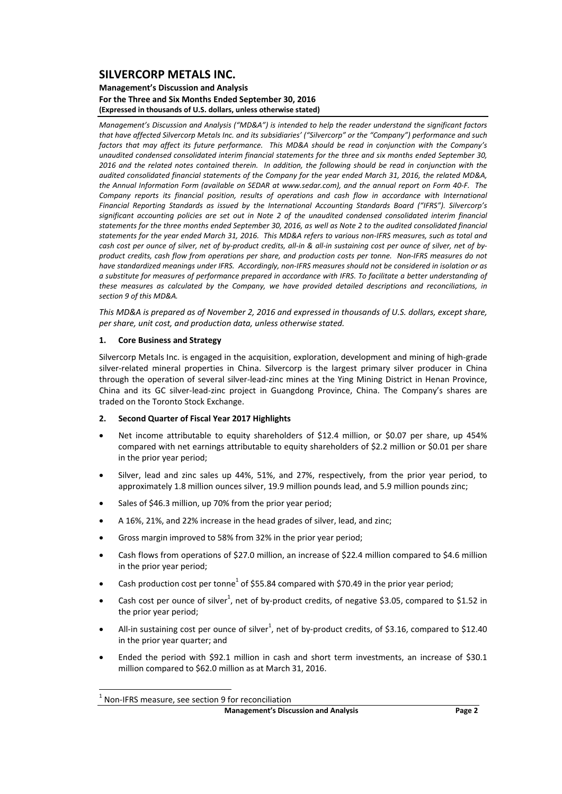#### **Management's Discussion and Analysis For the Three and Six Months Ended September 30, 2016 (Expressed in thousands of U.S. dollars, unless otherwise stated)**

*Management's Discussion and Analysis ("MD&A") is intended to help the reader understand the significant factors* that have affected Silvercorp Metals Inc. and its subsidiaries' ("Silvercorp" or the "Company") performance and such factors that may affect its future performance. This MD&A should be read in conjunction with the Company's *unaudited condensed consolidated interim financial statements for the three and six months ended September 30,* 2016 and the related notes contained therein. In addition, the following should be read in conjunction with the audited consolidated financial statements of the Company for the year ended March 31, 2016, the related MD&A, the Annual Information Form (available on SEDAR at www.sedar.com), and the annual report on Form 40-F. The *Company reports its financial position, results of operations and cash flow in accordance with International Financial Reporting Standards as issued by the International Accounting Standards Board ("IFRS"). Silvercorp's significant accounting policies are set out in Note 2 of the unaudited condensed consolidated interim financial* statements for the three months ended September 30, 2016, as well as Note 2 to the audited consolidated financial statements for the year ended March 31, 2016. This MD&A refers to various non-IFRS measures, such as total and cash cost per ounce of silver, net of by-product credits, all-in & all-in sustaining cost per ounce of silver, net of byproduct credits, cash flow from operations per share, and production costs per tonne. Non-IFRS measures do not have standardized meanings under IFRS. Accordingly, non-IFRS measures should not be considered in isolation or as a substitute for measures of performance prepared in accordance with IFRS. To facilitate a better understandina of *these measures as calculated by the Company, we have provided detailed descriptions and reconciliations, in section 9 of this MD&A.* 

This MD&A is prepared as of November 2, 2016 and expressed in thousands of U.S. dollars, except share, *per share, unit cost, and production data, unless otherwise stated.*

#### **1. Core Business and Strategy**

Silvercorp Metals Inc. is engaged in the acquisition, exploration, development and mining of high‐grade silver-related mineral properties in China. Silvercorp is the largest primary silver producer in China through the operation of several silver‐lead‐zinc mines at the Ying Mining District in Henan Province, China and its GC silver‐lead‐zinc project in Guangdong Province, China. The Company's shares are traded on the Toronto Stock Exchange.

#### **2. Second Quarter of Fiscal Year 2017 Highlights**

- Net income attributable to equity shareholders of \$12.4 million, or \$0.07 per share, up 454% compared with net earnings attributable to equity shareholders of \$2.2 million or \$0.01 per share in the prior year period;
- Silver, lead and zinc sales up 44%, 51%, and 27%, respectively, from the prior year period, to approximately 1.8 million ounces silver, 19.9 million pounds lead, and 5.9 million pounds zinc;
- Sales of \$46.3 million, up 70% from the prior year period;
- A 16%, 21%, and 22% increase in the head grades of silver, lead, and zinc;
- Gross margin improved to 58% from 32% in the prior year period;
- Cash flows from operations of \$27.0 million, an increase of \$22.4 million compared to \$4.6 million in the prior year period;
- Cash production cost per tonne<sup>1</sup> of \$55.84 compared with \$70.49 in the prior year period;
- Cash cost per ounce of silver<sup>1</sup>, net of by-product credits, of negative \$3.05, compared to \$1.52 in the prior year period;
- All-in sustaining cost per ounce of silver<sup>1</sup>, net of by-product credits, of \$3.16, compared to \$12.40 in the prior year quarter; and
- Ended the period with \$92.1 million in cash and short term investments, an increase of \$30.1 million compared to \$62.0 million as at March 31, 2016.

 <sup>1</sup> Non‐IFRS measure, see section <sup>9</sup> for reconciliation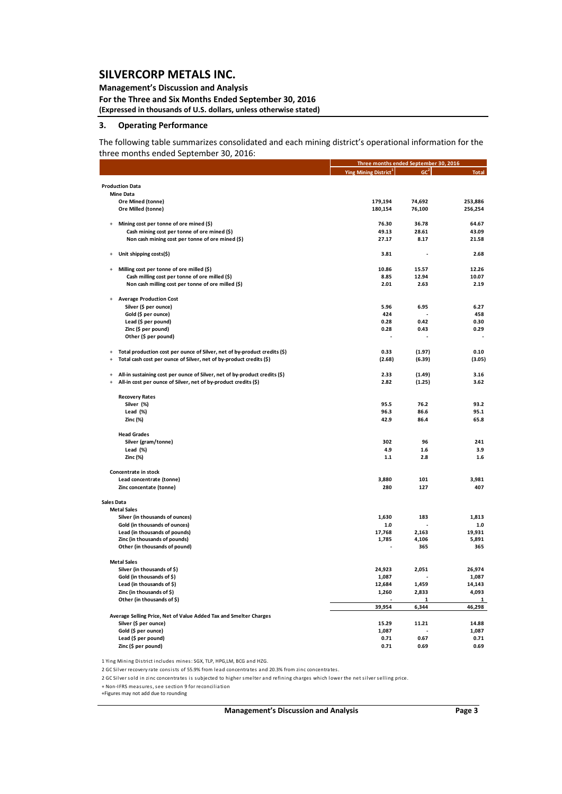### **Management's Discussion and Analysis**

**For the Three and Six Months Ended September 30, 2016 (Expressed in thousands of U.S. dollars, unless otherwise stated)**

### **3. Operating Performance**

The following table summarizes consolidated and each mining district's operational information for the three months ended September 30, 2016:

|                                                                                          | Three months ended September 30, 2016   |                 |                 |
|------------------------------------------------------------------------------------------|-----------------------------------------|-----------------|-----------------|
|                                                                                          | <b>Ying Mining District<sup>1</sup></b> | GC <sup>2</sup> | <b>Total</b>    |
| <b>Production Data</b>                                                                   |                                         |                 |                 |
| <b>Mine Data</b>                                                                         |                                         |                 |                 |
| Ore Mined (tonne)                                                                        | 179,194                                 | 74,692          | 253,886         |
| Ore Milled (tonne)                                                                       | 180,154                                 | 76,100          | 256,254         |
| Mining cost per tonne of ore mined (\$)                                                  | 76.30                                   | 36.78           | 64.67           |
| Cash mining cost per tonne of ore mined (\$)                                             | 49.13                                   | 28.61           | 43.09           |
| Non cash mining cost per tonne of ore mined (\$)                                         | 27.17                                   | 8.17            | 21.58           |
| Unit shipping costs(\$)<br>$\overline{+}$                                                | 3.81                                    |                 | 2.68            |
| Milling cost per tonne of ore milled (\$)<br>$\overline{+}$                              | 10.86                                   | 15.57           | 12.26           |
| Cash milling cost per tonne of ore milled (\$)                                           | 8.85                                    | 12.94           | 10.07           |
| Non cash milling cost per tonne of ore milled (\$)                                       | 2.01                                    | 2.63            | 2.19            |
| <b>Average Production Cost</b>                                                           |                                         |                 |                 |
| Silver (\$ per ounce)                                                                    | 5.96                                    | 6.95            | 6.27            |
| Gold (\$ per ounce)                                                                      | 424                                     |                 | 458             |
| Lead (\$ per pound)                                                                      | 0.28                                    | 0.42            | 0.30            |
| Zinc (\$ per pound)<br>Other (\$ per pound)                                              | 0.28                                    | 0.43            | 0.29            |
|                                                                                          |                                         |                 |                 |
| Total production cost per ounce of Silver, net of by-product credits (\$)<br>$\ddot{+}$  | 0.33                                    | (1.97)          | 0.10            |
| Total cash cost per ounce of Silver, net of by-product credits (\$)<br>$\overline{1}$    | (2.68)                                  | (6.39)          | (3.05)          |
| All-in sustaining cost per ounce of Silver, net of by-product credits (\$)<br>$\ddot{+}$ | 2.33                                    | (1.49)          | 3.16            |
| All-in cost per ounce of Silver, net of by-product credits (\$)<br>$\overline{+}$        | 2.82                                    | (1.25)          | 3.62            |
| <b>Recovery Rates</b>                                                                    |                                         |                 |                 |
| Silver (%)                                                                               | 95.5                                    | 76.2            | 93.2            |
| Lead (%)                                                                                 | 96.3                                    | 86.6            | 95.1            |
| Zinc (%)                                                                                 | 42.9                                    | 86.4            | 65.8            |
| <b>Head Grades</b>                                                                       |                                         |                 |                 |
| Silver (gram/tonne)                                                                      | 302                                     | 96              | 241             |
| Lead (%)                                                                                 | 4.9                                     | 1.6             | 3.9             |
| Zinc (%)                                                                                 | $1.1\,$                                 | 2.8             | 1.6             |
| Concentrate in stock                                                                     |                                         |                 |                 |
| Lead concentrate (tonne)                                                                 | 3,880                                   | 101             | 3,981           |
| Zinc concentate (tonne)                                                                  | 280                                     | 127             | 407             |
| Sales Data                                                                               |                                         |                 |                 |
| <b>Metal Sales</b>                                                                       |                                         |                 |                 |
| Silver (in thousands of ounces)                                                          | 1,630                                   | 183             | 1,813           |
| Gold (in thousands of ounces)                                                            | $1.0$                                   |                 | 1.0             |
| Lead (in thousands of pounds)<br>Zinc (in thousands of pounds)                           | 17,768<br>1,785                         | 2,163<br>4,106  | 19,931<br>5,891 |
| Other (in thousands of pound)                                                            |                                         | 365             | 365             |
| <b>Metal Sales</b>                                                                       |                                         |                 |                 |
| Silver (in thousands of \$)                                                              | 24,923                                  | 2,051           | 26,974          |
| Gold (in thousands of \$)                                                                | 1,087                                   |                 | 1,087           |
| Lead (in thousands of \$)                                                                | 12,684                                  | 1,459           | 14,143          |
| Zinc (in thousands of \$)                                                                | 1,260                                   | 2,833           | 4,093           |
| Other (in thousands of \$)                                                               |                                         | 1               | 1               |
|                                                                                          | 39,954                                  | 6,344           | 46,298          |
| Average Selling Price, Net of Value Added Tax and Smelter Charges                        | 15.29                                   | 11.21           | 14.88           |
| Silver (\$ per ounce)<br>Gold (\$ per ounce)                                             | 1,087                                   |                 | 1,087           |
| Lead (\$ per pound)                                                                      | 0.71                                    | 0.67            | 0.71            |
| Zinc (\$ per pound)                                                                      | 0.71                                    | 0.69            | 0.69            |

1 Ying Mining District includes mines: SGX, TLP, HPG,LM, BCG and HZG.

2 GC Silver recovery rate consists of 55.9% from lead concentrates and 20.3% from zinc concentrates.

2 GC Silver sold in zinc concentra tes i s s ubjected to higher smel te r and re fining cha rges which lower the net silve r selling price.

+ Non‐IFRS mea s ures, see section 9 for reconcilia ti on

+Figures may not add due to rounding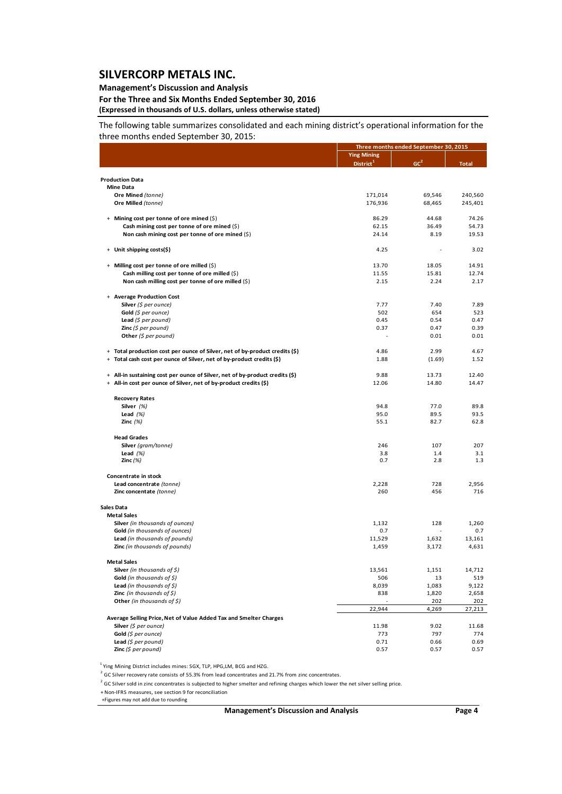### **Management's Discussion and Analysis**

**For the Three and Six Months Ended September 30, 2016 (Expressed in thousands of U.S. dollars, unless otherwise stated)**

The following table summarizes consolidated and each mining district's operational information for the three months ended September 30, 2015:

|                                                                                         |                       | Three months ended September 30, 2015 |              |
|-----------------------------------------------------------------------------------------|-----------------------|---------------------------------------|--------------|
|                                                                                         | <b>Ying Mining</b>    |                                       |              |
|                                                                                         | District <sup>1</sup> | GC <sup>2</sup>                       | <b>Total</b> |
|                                                                                         |                       |                                       |              |
| <b>Production Data</b>                                                                  |                       |                                       |              |
| <b>Mine Data</b>                                                                        |                       |                                       |              |
| Ore Mined (tonne)                                                                       | 171,014               | 69,546                                | 240,560      |
| Ore Milled (tonne)                                                                      | 176,936               | 68,465                                | 245,401      |
| + Mining cost per tonne of ore mined (\$)                                               | 86.29                 | 44.68                                 | 74.26        |
| Cash mining cost per tonne of ore mined $(\xi)$                                         | 62.15                 | 36.49                                 | 54.73        |
| Non cash mining cost per tonne of ore mined $(\xi)$                                     | 24.14                 | 8.19                                  | 19.53        |
| Unit shipping costs(\$)<br>$+$                                                          | 4.25                  |                                       | 3.02         |
| + Milling cost per tonne of ore milled (\$)                                             | 13.70                 | 18.05                                 | 14.91        |
| Cash milling cost per tonne of ore milled (\$)                                          | 11.55                 | 15.81                                 | 12.74        |
| Non cash milling cost per tonne of ore milled $(\xi)$                                   | 2.15                  | 2.24                                  | 2.17         |
|                                                                                         |                       |                                       |              |
| + Average Production Cost                                                               |                       |                                       |              |
| Silver $(\xi$ per ounce)                                                                | 7.77                  | 7.40                                  | 7.89         |
| Gold $(\xi$ per ounce)                                                                  | 502                   | 654                                   | 523          |
| Lead $(\xi$ per pound)                                                                  | 0.45                  | 0.54                                  | 0.47         |
| <b>Zinc</b> (\$ per pound)                                                              | 0.37                  | 0.47                                  | 0.39         |
| Other $(\xi$ per pound)                                                                 |                       | 0.01                                  | 0.01         |
| + Total production cost per ounce of Silver, net of by-product credits (\$)             | 4.86                  | 2.99                                  | 4.67         |
| + Total cash cost per ounce of Silver, net of by-product credits (\$)                   | 1.88                  | (1.69)                                | 1.52         |
| All-in sustaining cost per ounce of Silver, net of by-product credits (\$)<br>$\ddot{}$ | 9.88                  | 13.73                                 | 12.40        |
| + All-in cost per ounce of Silver, net of by-product credits (\$)                       | 12.06                 | 14.80                                 | 14.47        |
|                                                                                         |                       |                                       |              |
| <b>Recovery Rates</b>                                                                   |                       |                                       |              |
| Silver (%)                                                                              | 94.8                  | 77.0                                  | 89.8         |
| Lead $(%)$                                                                              | 95.0                  | 89.5                                  | 93.5         |
| Zinc $(%)$                                                                              | 55.1                  | 82.7                                  | 62.8         |
| <b>Head Grades</b>                                                                      |                       |                                       |              |
| Silver (gram/tonne)                                                                     | 246                   | 107                                   | 207          |
| Lead $(%)$                                                                              | 3.8                   | 1.4                                   | 3.1          |
| Zinc $(%)$                                                                              | 0.7                   | 2.8                                   | 1.3          |
| Concentrate in stock                                                                    |                       |                                       |              |
| Lead concentrate (tonne)                                                                | 2,228                 | 728                                   | 2,956        |
| Zinc concentate (tonne)                                                                 | 260                   | 456                                   | 716          |
| Sales Data                                                                              |                       |                                       |              |
| <b>Metal Sales</b>                                                                      |                       |                                       |              |
| Silver (in thousands of ounces)                                                         | 1,132                 | 128                                   | 1,260        |
| Gold (in thousands of ounces)                                                           | 0.7                   | $\overline{a}$                        | 0.7          |
| Lead (in thousands of pounds)                                                           | 11,529                | 1,632                                 | 13,161       |
| Zinc (in thousands of pounds)                                                           | 1,459                 | 3,172                                 | 4,631        |
|                                                                                         |                       |                                       |              |
| <b>Metal Sales</b><br><b>Silver</b> (in thousands of \$)                                | 13,561                | 1,151                                 | 14,712       |
| <b>Gold</b> (in thousands of $\zeta$ )                                                  | 506                   | 13                                    | 519          |
| Lead (in thousands of $\zeta$ )                                                         | 8,039                 | 1,083                                 | 9,122        |
| <b>Zinc</b> (in thousands of $\zeta$ )                                                  | 838                   | 1,820                                 | 2,658        |
| Other (in thousands of $\zeta$ )                                                        |                       | 202                                   | <u>202</u>   |
|                                                                                         | 22,944                | 4,269                                 | 27,213       |
| Average Selling Price, Net of Value Added Tax and Smelter Charges                       |                       |                                       |              |
| Silver $(\xi$ per ounce)                                                                | 11.98                 | 9.02                                  | 11.68        |
| Gold (\$ per ounce)                                                                     | 773                   | 797                                   | 774          |
| Lead $(5$ per pound)                                                                    | 0.71                  | 0.66                                  | 0.69         |
| Zinc $(5$ per pound)                                                                    | 0.57                  | 0.57                                  | 0.57         |

<sup>1</sup> Ying Mining District includes mines: SGX, TLP, HPG,LM, BCG and HZG.

<sup>2</sup> GC Silver recovery rate consists of 55.3% from lead concentrates and 21.7% from zinc concentrates.

 $2$  GC Silver sold in zinc concentrates is subjected to higher smelter and refining charges which lower the net silver selling price.

+ Non‐IFRS measures, see section 9 for reconciliation

+Figures may not add due to rounding

**Management's Discussion and Analysis Page 4**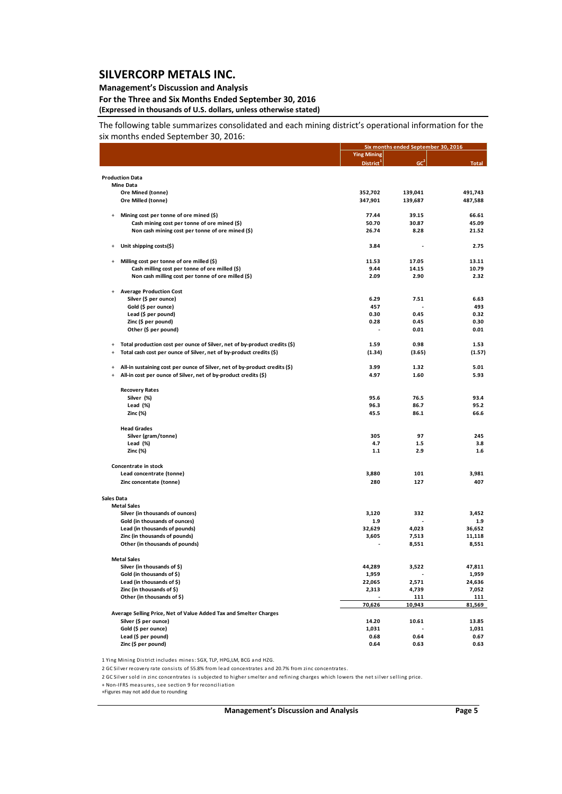### **Management's Discussion and Analysis**

**For the Three and Six Months Ended September 30, 2016 (Expressed in thousands of U.S. dollars, unless otherwise stated)**

The following table summarizes consolidated and each mining district's operational information for the six months ended September 30, 2016:

|                                            |                                                                                         |                       | Six months ended September 30, 2016 |              |  |  |
|--------------------------------------------|-----------------------------------------------------------------------------------------|-----------------------|-------------------------------------|--------------|--|--|
|                                            |                                                                                         | <b>Ying Mining</b>    |                                     |              |  |  |
|                                            |                                                                                         | District <sup>1</sup> | GC <sup>2</sup>                     | <b>Total</b> |  |  |
|                                            |                                                                                         |                       |                                     |              |  |  |
| <b>Production Data</b>                     |                                                                                         |                       |                                     |              |  |  |
| <b>Mine Data</b>                           |                                                                                         |                       |                                     |              |  |  |
| Ore Mined (tonne)                          |                                                                                         | 352,702               | 139,041                             | 491,743      |  |  |
| Ore Milled (tonne)                         |                                                                                         | 347,901               | 139,687                             | 487,588      |  |  |
|                                            |                                                                                         | 77.44                 | 39.15                               | 66.61        |  |  |
| $\ddot{}$                                  | Mining cost per tonne of ore mined (\$)<br>Cash mining cost per tonne of ore mined (\$) | 50.70                 | 30.87                               | 45.09        |  |  |
|                                            | Non cash mining cost per tonne of ore mined (\$)                                        | 26.74                 | 8.28                                | 21.52        |  |  |
|                                            |                                                                                         |                       |                                     |              |  |  |
| $\ddot{}$                                  | Unit shipping costs(\$)                                                                 | 3.84                  |                                     | 2.75         |  |  |
| $\ddot{}$                                  | Milling cost per tonne of ore milled (\$)                                               | 11.53                 | 17.05                               | 13.11        |  |  |
|                                            | Cash milling cost per tonne of ore milled (\$)                                          | 9.44                  | 14.15                               | 10.79        |  |  |
|                                            | Non cash milling cost per tonne of ore milled (\$)                                      | 2.09                  | 2.90                                | 2.32         |  |  |
|                                            |                                                                                         |                       |                                     |              |  |  |
|                                            | <b>Average Production Cost</b>                                                          |                       |                                     |              |  |  |
|                                            | Silver (\$ per ounce)                                                                   | 6.29                  | 7.51                                | 6.63         |  |  |
|                                            | Gold (\$ per ounce)                                                                     | 457                   |                                     | 493          |  |  |
|                                            | Lead (\$ per pound)                                                                     | 0.30                  | 0.45                                | 0.32         |  |  |
|                                            | Zinc (\$ per pound)                                                                     | 0.28                  | 0.45                                | 0.30         |  |  |
|                                            | Other (\$ per pound)                                                                    |                       | 0.01                                | 0.01         |  |  |
|                                            |                                                                                         |                       |                                     |              |  |  |
| $\ddot{}$                                  | Total production cost per ounce of Silver, net of by-product credits (\$)               | 1.59<br>(1.34)        | 0.98                                | 1.53         |  |  |
| $\ddot{}$                                  | Total cash cost per ounce of Silver, net of by-product credits (\$)                     |                       | (3.65)                              | (1.57)       |  |  |
| $\ddot{}$                                  | All-in sustaining cost per ounce of Silver, net of by-product credits (\$)              | 3.99                  | 1.32                                | 5.01         |  |  |
| $\begin{array}{c} + \end{array}$           | All-in cost per ounce of Silver, net of by-product credits (\$)                         | 4.97                  | 1.60                                | 5.93         |  |  |
|                                            |                                                                                         |                       |                                     |              |  |  |
| <b>Recovery Rates</b>                      |                                                                                         |                       |                                     |              |  |  |
| Silver (%)                                 |                                                                                         | 95.6                  | 76.5                                | 93.4         |  |  |
| Lead (%)                                   |                                                                                         | 96.3                  | 86.7                                | 95.2         |  |  |
| Zinc (%)                                   |                                                                                         | 45.5                  | 86.1                                | 66.6         |  |  |
| <b>Head Grades</b>                         |                                                                                         |                       |                                     |              |  |  |
|                                            | Silver (gram/tonne)                                                                     | 305                   | 97                                  | 245          |  |  |
| Lead (%)                                   |                                                                                         | 4.7                   | 1.5                                 | 3.8          |  |  |
| Zinc (%)                                   |                                                                                         | 1.1                   | 2.9                                 | 1.6          |  |  |
|                                            |                                                                                         |                       |                                     |              |  |  |
| Concentrate in stock                       |                                                                                         |                       |                                     |              |  |  |
|                                            | Lead concentrate (tonne)                                                                | 3,880                 | 101                                 | 3,981        |  |  |
|                                            | Zinc concentate (tonne)                                                                 | 280                   | 127                                 | 407          |  |  |
|                                            |                                                                                         |                       |                                     |              |  |  |
| <b>Sales Data</b><br><b>Metal Sales</b>    |                                                                                         |                       |                                     |              |  |  |
|                                            | Silver (in thousands of ounces)                                                         | 3,120                 | 332                                 | 3,452        |  |  |
|                                            | Gold (in thousands of ounces)                                                           | 1.9                   |                                     | 1.9          |  |  |
|                                            | Lead (in thousands of pounds)                                                           | 32,629                | 4,023                               | 36,652       |  |  |
|                                            | Zinc (in thousands of pounds)                                                           | 3,605                 | 7,513                               | 11,118       |  |  |
|                                            | Other (in thousands of pounds)                                                          |                       | 8,551                               | 8,551        |  |  |
|                                            |                                                                                         |                       |                                     |              |  |  |
| <b>Metal Sales</b>                         |                                                                                         |                       |                                     |              |  |  |
|                                            | Silver (in thousands of \$)                                                             | 44,289                | 3,522                               | 47,811       |  |  |
|                                            | Gold (in thousands of \$)                                                               | 1,959                 |                                     | 1,959        |  |  |
|                                            | Lead (in thousands of \$)                                                               | 22,065                | 2,571                               | 24,636       |  |  |
|                                            | Zinc (in thousands of \$)                                                               | 2,313                 | 4,739                               | 7,052        |  |  |
|                                            | Other (in thousands of \$)                                                              |                       | <u> 111</u>                         | <u>111</u>   |  |  |
|                                            |                                                                                         | 70,626                | 10,943                              | 81,569       |  |  |
|                                            | Average Selling Price, Net of Value Added Tax and Smelter Charges                       |                       |                                     |              |  |  |
|                                            | Silver (\$ per ounce)                                                                   | 14.20                 | 10.61                               | 13.85        |  |  |
| Gold (\$ per ounce)<br>Lead (\$ per pound) |                                                                                         | 1,031                 | 0.64                                | 1,031        |  |  |
| Zinc (\$ per pound)                        |                                                                                         | 0.68<br>0.64          | 0.63                                | 0.67<br>0.63 |  |  |
|                                            |                                                                                         |                       |                                     |              |  |  |

1 Ying Mining District includes mines: SGX, TLP, HPG,LM, BCG and HZG.

2 GC Silver recovery rate consists of 55.8% from lead concentrates and 20.7% from zinc concentrates.

2 GC Silver sold in zinc concentrates is subjected to higher smelter and refining charges which lowers the net silver selling price.

+ Non-IFRS measures, see section 9 for reconciliation<br>+Figures may not add due to rounding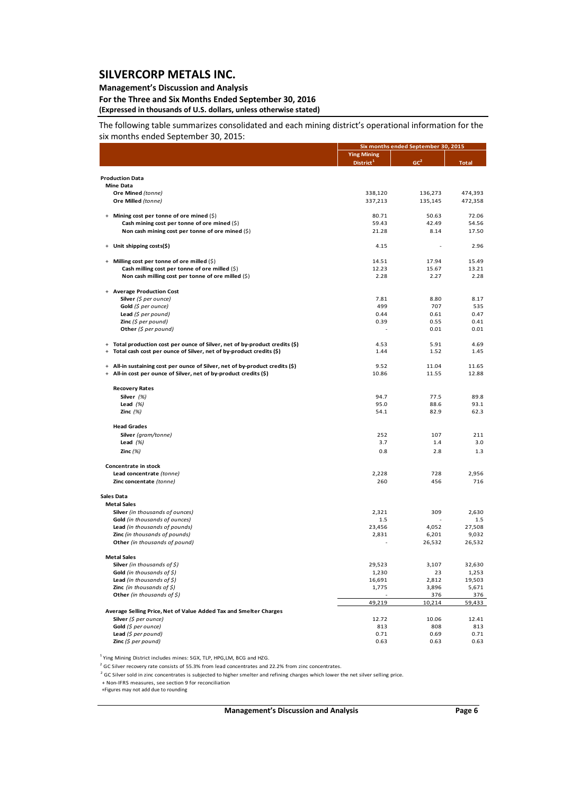### **Management's Discussion and Analysis**

**For the Three and Six Months Ended September 30, 2016 (Expressed in thousands of U.S. dollars, unless otherwise stated)**

The following table summarizes consolidated and each mining district's operational information for the six months ended September 30, 2015:

|                                                                                  |                       | Six months ended September 30, 2015 |              |
|----------------------------------------------------------------------------------|-----------------------|-------------------------------------|--------------|
|                                                                                  | <b>Ying Mining</b>    |                                     |              |
|                                                                                  | District <sup>1</sup> | GC <sup>2</sup>                     | <b>Total</b> |
|                                                                                  |                       |                                     |              |
| <b>Production Data</b><br><b>Mine Data</b>                                       |                       |                                     |              |
| Ore Mined (tonne)                                                                | 338,120               | 136,273                             | 474,393      |
| Ore Milled (tonne)                                                               | 337,213               | 135,145                             | 472,358      |
|                                                                                  |                       |                                     |              |
| + Mining cost per tonne of ore mined (\$)                                        | 80.71                 | 50.63                               | 72.06        |
| Cash mining cost per tonne of ore mined (\$)                                     | 59.43                 | 42.49                               | 54.56        |
| Non cash mining cost per tonne of ore mined (\$)                                 | 21.28                 | 8.14                                | 17.50        |
| + Unit shipping costs(\$)                                                        | 4.15                  |                                     | 2.96         |
| + Milling cost per tonne of ore milled (\$)                                      | 14.51                 | 17.94                               | 15.49        |
| Cash milling cost per tonne of ore milled (\$)                                   | 12.23                 | 15.67                               | 13.21        |
| Non cash milling cost per tonne of ore milled (\$)                               | 2.28                  | 2.27                                | 2.28         |
|                                                                                  |                       |                                     |              |
| + Average Production Cost                                                        |                       |                                     |              |
| Silver (\$ per ounce)                                                            | 7.81                  | 8.80                                | 8.17         |
| Gold (\$ per ounce)                                                              | 499                   | 707                                 | 535          |
| Lead $(S$ per pound)                                                             | 0.44                  | 0.61                                | 0.47         |
| <b>Zinc</b> (\$ per pound)                                                       | 0.39                  | 0.55<br>0.01                        | 0.41<br>0.01 |
| Other (\$ per pound)                                                             |                       |                                     |              |
| + Total production cost per ounce of Silver, net of by-product credits (\$)      | 4.53                  | 5.91                                | 4.69         |
| Total cash cost per ounce of Silver, net of by-product credits (\$)<br>$\ddot{}$ | 1.44                  | 1.52                                | 1.45         |
|                                                                                  |                       |                                     |              |
| + All-in sustaining cost per ounce of Silver, net of by-product credits (\$)     | 9.52                  | 11.04                               | 11.65        |
| All-in cost per ounce of Silver, net of by-product credits (\$)<br>$\ddot{}$     | 10.86                 | 11.55                               | 12.88        |
| <b>Recovery Rates</b>                                                            |                       |                                     |              |
| Silver $(%)$                                                                     | 94.7                  | 77.5                                | 89.8         |
| Lead $(%)$                                                                       | 95.0                  | 88.6                                | 93.1         |
| Zinc $(%)$                                                                       | 54.1                  | 82.9                                | 62.3         |
| <b>Head Grades</b>                                                               |                       |                                     |              |
| Silver (gram/tonne)                                                              | 252                   | 107                                 | 211          |
| Lead $(%)$                                                                       | 3.7                   | 1.4                                 | 3.0          |
| Zinc $(%)$                                                                       | 0.8                   | 2.8                                 | 1.3          |
|                                                                                  |                       |                                     |              |
| Concentrate in stock                                                             |                       |                                     |              |
| Lead concentrate (tonne)                                                         | 2,228<br>260          | 728<br>456                          | 2,956<br>716 |
| Zinc concentate (tonne)                                                          |                       |                                     |              |
| Sales Data                                                                       |                       |                                     |              |
| <b>Metal Sales</b>                                                               |                       |                                     |              |
| Silver (in thousands of ounces)                                                  | 2,321                 | 309                                 | 2,630        |
| <b>Gold</b> (in thousands of ounces)                                             | 1.5                   |                                     | 1.5          |
| Lead (in thousands of pounds)                                                    | 23,456                | 4,052                               | 27,508       |
| Zinc (in thousands of pounds)                                                    | 2,831                 | 6,201                               | 9,032        |
| Other (in thousands of pound)                                                    |                       | 26,532                              | 26,532       |
| <b>Metal Sales</b>                                                               |                       |                                     |              |
| <b>Silver</b> (in thousands of \$)                                               | 29,523                | 3,107                               | 32,630       |
| Gold (in thousands of $\zeta$ )                                                  | 1,230                 | 23                                  | 1,253        |
| <b>Lead</b> (in thousands of $\zeta$ )                                           | 16,691                | 2,812                               | 19,503       |
| <b>Zinc</b> (in thousands of $\zeta$ )                                           | 1,775                 | 3,896                               | 5,671        |
| Other (in thousands of \$)                                                       |                       | 376                                 | 376          |
|                                                                                  | 49,219                | 10,214                              | 59,433       |
| Average Selling Price, Net of Value Added Tax and Smelter Charges                |                       |                                     |              |
| Silver (\$ per ounce)                                                            | 12.72                 | 10.06                               | 12.41        |
| Gold (\$ per ounce)                                                              | 813                   | 808                                 | 813          |
| Lead $(S$ per pound)                                                             | 0.71                  | 0.69                                | 0.71         |
| Zinc $(5$ per pound)                                                             | 0.63                  | 0.63                                | 0.63         |

<sup>1</sup> Ying Mining District includes mines: SGX, TLP, HPG,LM, BCG and HZG.

<sup>2</sup> GC Silver recovery rate consists of 55.3% from lead concentrates and 22.2% from zinc concentrates.

 $2^{2}$  GC Silver sold in zinc concentrates is subjected to higher smelter and refining charges which lower the net silver selling price.

+ Non‐IFRS measures, see section 9 for reconciliation

+Figures may not add due to rounding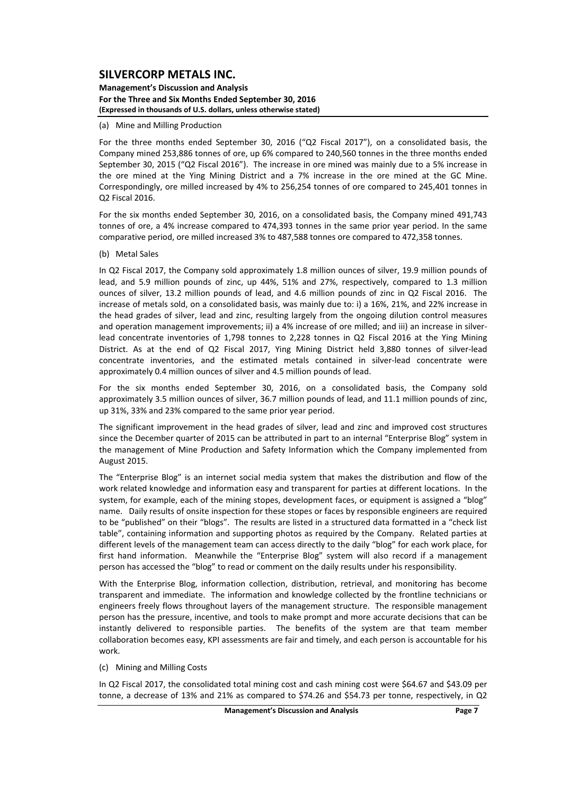**Management's Discussion and Analysis For the Three and Six Months Ended September 30, 2016 (Expressed in thousands of U.S. dollars, unless otherwise stated)**

#### (a) Mine and Milling Production

For the three months ended September 30, 2016 ("Q2 Fiscal 2017"), on a consolidated basis, the Company mined 253,886 tonnes of ore, up 6% compared to 240,560 tonnes in the three months ended September 30, 2015 ("Q2 Fiscal 2016"). The increase in ore mined was mainly due to a 5% increase in the ore mined at the Ying Mining District and a 7% increase in the ore mined at the GC Mine. Correspondingly, ore milled increased by 4% to 256,254 tonnes of ore compared to 245,401 tonnes in Q2 Fiscal 2016.

For the six months ended September 30, 2016, on a consolidated basis, the Company mined 491,743 tonnes of ore, a 4% increase compared to 474,393 tonnes in the same prior year period. In the same comparative period, ore milled increased 3% to 487,588 tonnes ore compared to 472,358 tonnes.

#### (b) Metal Sales

In Q2 Fiscal 2017, the Company sold approximately 1.8 million ounces of silver, 19.9 million pounds of lead, and 5.9 million pounds of zinc, up 44%, 51% and 27%, respectively, compared to 1.3 million ounces of silver, 13.2 million pounds of lead, and 4.6 million pounds of zinc in Q2 Fiscal 2016. The increase of metals sold, on a consolidated basis, was mainly due to: i) a 16%, 21%, and 22% increase in the head grades of silver, lead and zinc, resulting largely from the ongoing dilution control measures and operation management improvements; ii) a 4% increase of ore milled; and iii) an increase in silverlead concentrate inventories of 1,798 tonnes to 2,228 tonnes in Q2 Fiscal 2016 at the Ying Mining District. As at the end of Q2 Fiscal 2017, Ying Mining District held 3,880 tonnes of silver-lead concentrate inventories, and the estimated metals contained in silver-lead concentrate were approximately 0.4 million ounces of silver and 4.5 million pounds of lead.

For the six months ended September 30, 2016, on a consolidated basis, the Company sold approximately 3.5 million ounces of silver, 36.7 million pounds of lead, and 11.1 million pounds of zinc, up 31%, 33% and 23% compared to the same prior year period.

The significant improvement in the head grades of silver, lead and zinc and improved cost structures since the December quarter of 2015 can be attributed in part to an internal "Enterprise Blog" system in the management of Mine Production and Safety Information which the Company implemented from August 2015.

The "Enterprise Blog" is an internet social media system that makes the distribution and flow of the work related knowledge and information easy and transparent for parties at different locations. In the system, for example, each of the mining stopes, development faces, or equipment is assigned a "blog" name. Daily results of onsite inspection for these stopes or faces by responsible engineers are required to be "published" on their "blogs". The results are listed in a structured data formatted in a "check list table", containing information and supporting photos as required by the Company. Related parties at different levels of the management team can access directly to the daily "blog" for each work place, for first hand information. Meanwhile the "Enterprise Blog" system will also record if a management person has accessed the "blog" to read or comment on the daily results under his responsibility.

With the Enterprise Blog, information collection, distribution, retrieval, and monitoring has become transparent and immediate. The information and knowledge collected by the frontline technicians or engineers freely flows throughout layers of the management structure. The responsible management person has the pressure, incentive, and tools to make prompt and more accurate decisions that can be instantly delivered to responsible parties. The benefits of the system are that team member collaboration becomes easy, KPI assessments are fair and timely, and each person is accountable for his work.

#### (c) Mining and Milling Costs

In Q2 Fiscal 2017, the consolidated total mining cost and cash mining cost were \$64.67 and \$43.09 per tonne, a decrease of 13% and 21% as compared to \$74.26 and \$54.73 per tonne, respectively, in Q2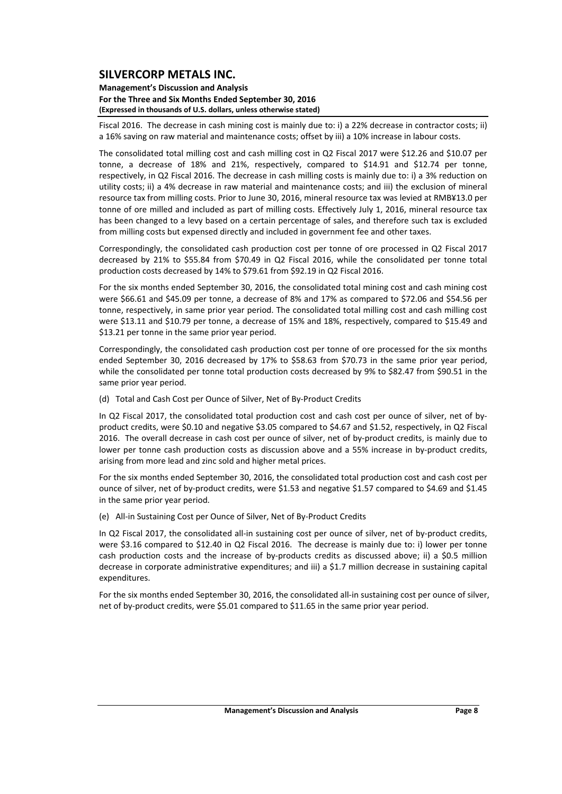**Management's Discussion and Analysis For the Three and Six Months Ended September 30, 2016 (Expressed in thousands of U.S. dollars, unless otherwise stated)**

Fiscal 2016. The decrease in cash mining cost is mainly due to: i) a 22% decrease in contractor costs; ii) a 16% saving on raw material and maintenance costs; offset by iii) a 10% increase in labour costs.

The consolidated total milling cost and cash milling cost in Q2 Fiscal 2017 were \$12.26 and \$10.07 per tonne, a decrease of 18% and 21%, respectively, compared to \$14.91 and \$12.74 per tonne, respectively, in Q2 Fiscal 2016. The decrease in cash milling costs is mainly due to: i) a 3% reduction on utility costs; ii) a 4% decrease in raw material and maintenance costs; and iii) the exclusion of mineral resource tax from milling costs. Prior to June 30, 2016, mineral resource tax was levied at RMB¥13.0 per tonne of ore milled and included as part of milling costs. Effectively July 1, 2016, mineral resource tax has been changed to a levy based on a certain percentage of sales, and therefore such tax is excluded from milling costs but expensed directly and included in government fee and other taxes.

Correspondingly, the consolidated cash production cost per tonne of ore processed in Q2 Fiscal 2017 decreased by 21% to \$55.84 from \$70.49 in Q2 Fiscal 2016, while the consolidated per tonne total production costs decreased by 14% to \$79.61 from \$92.19 in Q2 Fiscal 2016.

For the six months ended September 30, 2016, the consolidated total mining cost and cash mining cost were \$66.61 and \$45.09 per tonne, a decrease of 8% and 17% as compared to \$72.06 and \$54.56 per tonne, respectively, in same prior year period. The consolidated total milling cost and cash milling cost were \$13.11 and \$10.79 per tonne, a decrease of 15% and 18%, respectively, compared to \$15.49 and \$13.21 per tonne in the same prior year period.

Correspondingly, the consolidated cash production cost per tonne of ore processed for the six months ended September 30, 2016 decreased by 17% to \$58.63 from \$70.73 in the same prior year period, while the consolidated per tonne total production costs decreased by 9% to \$82.47 from \$90.51 in the same prior year period.

(d) Total and Cash Cost per Ounce of Silver, Net of By‐Product Credits

In Q2 Fiscal 2017, the consolidated total production cost and cash cost per ounce of silver, net of byproduct credits, were \$0.10 and negative \$3.05 compared to \$4.67 and \$1.52, respectively, in Q2 Fiscal 2016. The overall decrease in cash cost per ounce of silver, net of by-product credits, is mainly due to lower per tonne cash production costs as discussion above and a 55% increase in by‐product credits, arising from more lead and zinc sold and higher metal prices.

For the six months ended September 30, 2016, the consolidated total production cost and cash cost per ounce of silver, net of by‐product credits, were \$1.53 and negative \$1.57 compared to \$4.69 and \$1.45 in the same prior year period.

(e) All‐in Sustaining Cost per Ounce of Silver, Net of By‐Product Credits

In Q2 Fiscal 2017, the consolidated all-in sustaining cost per ounce of silver, net of by-product credits, were \$3.16 compared to \$12.40 in Q2 Fiscal 2016. The decrease is mainly due to: i) lower per tonne cash production costs and the increase of by‐products credits as discussed above; ii) a \$0.5 million decrease in corporate administrative expenditures; and iii) a \$1.7 million decrease in sustaining capital expenditures.

For the six months ended September 30, 2016, the consolidated all-in sustaining cost per ounce of silver. net of by‐product credits, were \$5.01 compared to \$11.65 in the same prior year period.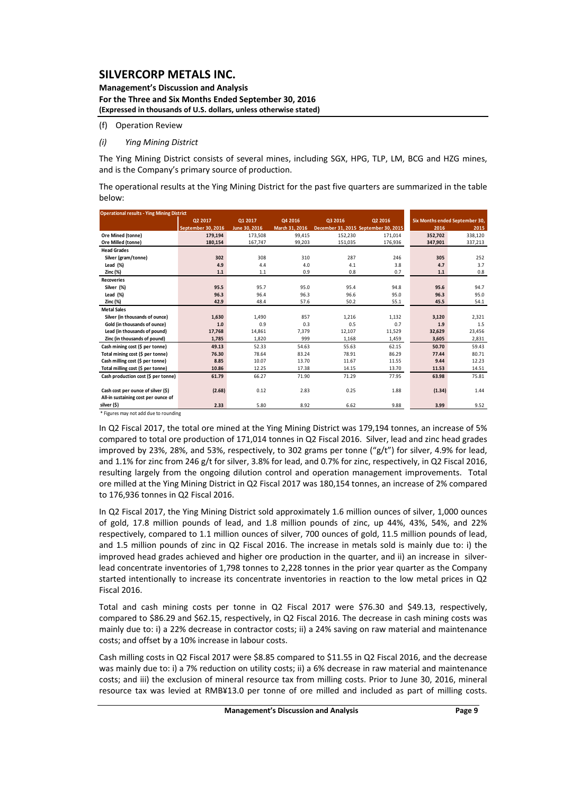**Management's Discussion and Analysis For the Three and Six Months Ended September 30, 2016 (Expressed in thousands of U.S. dollars, unless otherwise stated)**

(f) Operation Review

#### *(i) Ying Mining District*

The Ying Mining District consists of several mines, including SGX, HPG, TLP, LM, BCG and HZG mines, and is the Company's primary source of production.

The operational results at the Ying Mining District for the past five quarters are summarized in the table below:

| <b>Operational results - Ying Mining District</b> |                    |               |                |                                      |         |         |                                |
|---------------------------------------------------|--------------------|---------------|----------------|--------------------------------------|---------|---------|--------------------------------|
|                                                   | Q2 2017            | Q1 2017       | Q4 2016        | Q3 2016                              | Q2 2016 |         | Six Months ended September 30, |
|                                                   | September 30, 2016 | June 30, 2016 | March 31, 2016 | December 31, 2015 September 30, 2015 |         | 2016    | 2015                           |
| Ore Mined (tonne)                                 | 179.194            | 173,508       | 99,415         | 152,230                              | 171,014 | 352,702 | 338,120                        |
| Ore Milled (tonne)                                | 180,154            | 167,747       | 99,203         | 151,035                              | 176,936 | 347,901 | 337,213                        |
| <b>Head Grades</b>                                |                    |               |                |                                      |         |         |                                |
| Silver (gram/tonne)                               | 302                | 308           | 310            | 287                                  | 246     | 305     | 252                            |
| Lead $(% )$                                       | 4.9                | 4.4           | 4.0            | 4.1                                  | 3.8     | 4.7     | 3.7                            |
| Zinc (%)                                          | 1.1                | 1.1           | 0.9            | 0.8                                  | 0.7     | 1.1     | 0.8                            |
| <b>Recoveries</b>                                 |                    |               |                |                                      |         |         |                                |
| Silver (%)                                        | 95.5               | 95.7          | 95.0           | 95.4                                 | 94.8    | 95.6    | 94.7                           |
| Lead $(%)$                                        | 96.3               | 96.4          | 96.3           | 96.6                                 | 95.0    | 96.3    | 95.0                           |
| Zinc (%)                                          | 42.9               | 48.4          | 57.6           | 50.2                                 | 55.1    | 45.5    | 54.1                           |
| <b>Metal Sales</b>                                |                    |               |                |                                      |         |         |                                |
| Silver (in thousands of ounce)                    | 1,630              | 1,490         | 857            | 1,216                                | 1,132   | 3,120   | 2,321                          |
| Gold (in thousands of ounce)                      | 1.0                | 0.9           | 0.3            | 0.5                                  | 0.7     | 1.9     | 1.5                            |
| Lead (in thousands of pound)                      | 17,768             | 14,861        | 7.379          | 12,107                               | 11,529  | 32,629  | 23,456                         |
| Zinc (in thousands of pound)                      | 1,785              | 1.820         | 999            | 1.168                                | 1,459   | 3,605   | 2,831                          |
| Cash mining cost (\$ per tonne)                   | 49.13              | 52.33         | 54.63          | 55.63                                | 62.15   | 50.70   | 59.43                          |
| Total mining cost (\$ per tonne)                  | 76.30              | 78.64         | 83.24          | 78.91                                | 86.29   | 77.44   | 80.71                          |
| Cash milling cost (\$ per tonne)                  | 8.85               | 10.07         | 13.70          | 11.67                                | 11.55   | 9.44    | 12.23                          |
| Total milling cost (\$ per tonne)                 | 10.86              | 12.25         | 17.38          | 14.15                                | 13.70   | 11.53   | 14.51                          |
| Cash production cost (\$ per tonne)               | 61.79              | 66.27         | 71.90          | 71.29                                | 77.95   | 63.98   | 75.81                          |
|                                                   |                    |               |                |                                      |         |         |                                |
| Cash cost per ounce of silver (\$)                | (2.68)             | 0.12          | 2.83           | 0.25                                 | 1.88    | (1.34)  | 1.44                           |
| All-in sustaining cost per ounce of               |                    |               |                |                                      |         |         |                                |
| silver (\$)                                       | 2.33               | 5.80          | 8.92           | 6.62                                 | 9.88    | 3.99    | 9.52                           |

\* Figures may not add due to rounding

In Q2 Fiscal 2017, the total ore mined at the Ying Mining District was 179,194 tonnes, an increase of 5% compared to total ore production of 171,014 tonnes in Q2 Fiscal 2016. Silver, lead and zinc head grades improved by 23%, 28%, and 53%, respectively, to 302 grams per tonne ("g/t") for silver, 4.9% for lead, and 1.1% for zinc from 246 g/t for silver, 3.8% for lead, and 0.7% for zinc, respectively, in Q2 Fiscal 2016, resulting largely from the ongoing dilution control and operation management improvements. Total ore milled at the Ying Mining District in Q2 Fiscal 2017 was 180,154 tonnes, an increase of 2% compared to 176,936 tonnes in Q2 Fiscal 2016.

In Q2 Fiscal 2017, the Ying Mining District sold approximately 1.6 million ounces of silver, 1,000 ounces of gold, 17.8 million pounds of lead, and 1.8 million pounds of zinc, up 44%, 43%, 54%, and 22% respectively, compared to 1.1 million ounces of silver, 700 ounces of gold, 11.5 million pounds of lead, and 1.5 million pounds of zinc in Q2 Fiscal 2016. The increase in metals sold is mainly due to: i) the improved head grades achieved and higher ore production in the quarter, and ii) an increase in silverlead concentrate inventories of 1,798 tonnes to 2,228 tonnes in the prior year quarter as the Company started intentionally to increase its concentrate inventories in reaction to the low metal prices in Q2 Fiscal 2016.

Total and cash mining costs per tonne in Q2 Fiscal 2017 were \$76.30 and \$49.13, respectively, compared to \$86.29 and \$62.15, respectively, in Q2 Fiscal 2016. The decrease in cash mining costs was mainly due to: i) a 22% decrease in contractor costs; ii) a 24% saving on raw material and maintenance costs; and offset by a 10% increase in labour costs.

Cash milling costs in Q2 Fiscal 2017 were \$8.85 compared to \$11.55 in Q2 Fiscal 2016, and the decrease was mainly due to: i) a 7% reduction on utility costs; ii) a 6% decrease in raw material and maintenance costs; and iii) the exclusion of mineral resource tax from milling costs. Prior to June 30, 2016, mineral resource tax was levied at RMB¥13.0 per tonne of ore milled and included as part of milling costs.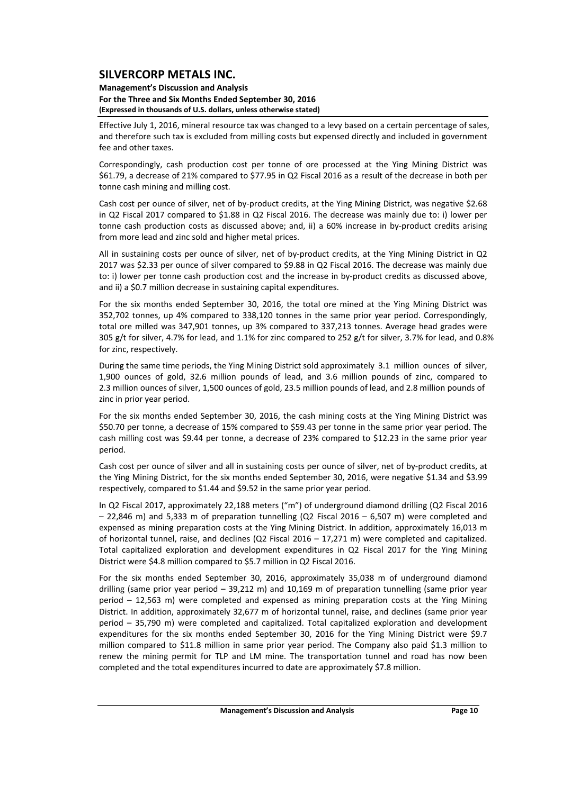#### **Management's Discussion and Analysis For the Three and Six Months Ended September 30, 2016 (Expressed in thousands of U.S. dollars, unless otherwise stated)**

Effective July 1, 2016, mineral resource tax was changed to a levy based on a certain percentage of sales, and therefore such tax is excluded from milling costs but expensed directly and included in government fee and other taxes.

Correspondingly, cash production cost per tonne of ore processed at the Ying Mining District was \$61.79, a decrease of 21% compared to \$77.95 in Q2 Fiscal 2016 as a result of the decrease in both per tonne cash mining and milling cost.

Cash cost per ounce of silver, net of by‐product credits, at the Ying Mining District, was negative \$2.68 in Q2 Fiscal 2017 compared to \$1.88 in Q2 Fiscal 2016. The decrease was mainly due to: i) lower per tonne cash production costs as discussed above; and, ii) a 60% increase in by-product credits arising from more lead and zinc sold and higher metal prices.

All in sustaining costs per ounce of silver, net of by-product credits, at the Ying Mining District in Q2 2017 was \$2.33 per ounce of silver compared to \$9.88 in Q2 Fiscal 2016. The decrease was mainly due to: i) lower per tonne cash production cost and the increase in by-product credits as discussed above, and ii) a \$0.7 million decrease in sustaining capital expenditures.

For the six months ended September 30, 2016, the total ore mined at the Ying Mining District was 352,702 tonnes, up 4% compared to 338,120 tonnes in the same prior year period. Correspondingly, total ore milled was 347,901 tonnes, up 3% compared to 337,213 tonnes. Average head grades were 305 g/t for silver, 4.7% for lead, and 1.1% for zinc compared to 252 g/t for silver, 3.7% for lead, and 0.8% for zinc, respectively.

During the same time periods, the Ying Mining District sold approximately 3.1 million ounces of silver, 1,900 ounces of gold, 32.6 million pounds of lead, and 3.6 million pounds of zinc, compared to 2.3 million ounces of silver, 1,500 ounces of gold, 23.5 million pounds of lead, and 2.8 million pounds of zinc in prior year period.

For the six months ended September 30, 2016, the cash mining costs at the Ying Mining District was \$50.70 per tonne, a decrease of 15% compared to \$59.43 per tonne in the same prior year period. The cash milling cost was \$9.44 per tonne, a decrease of 23% compared to \$12.23 in the same prior year period.

Cash cost per ounce of silver and all in sustaining costs per ounce of silver, net of by‐product credits, at the Ying Mining District, for the six months ended September 30, 2016, were negative \$1.34 and \$3.99 respectively, compared to \$1.44 and \$9.52 in the same prior year period.

In Q2 Fiscal 2017, approximately 22,188 meters ("m") of underground diamond drilling (Q2 Fiscal 2016 – 22,846 m) and 5,333 m of preparation tunnelling (Q2 Fiscal 2016 – 6,507 m) were completed and expensed as mining preparation costs at the Ying Mining District. In addition, approximately 16,013 m of horizontal tunnel, raise, and declines (Q2 Fiscal 2016 – 17,271 m) were completed and capitalized. Total capitalized exploration and development expenditures in Q2 Fiscal 2017 for the Ying Mining District were \$4.8 million compared to \$5.7 million in Q2 Fiscal 2016.

For the six months ended September 30, 2016, approximately 35,038 m of underground diamond drilling (same prior year period – 39,212 m) and 10,169 m of preparation tunnelling (same prior year period – 12,563 m) were completed and expensed as mining preparation costs at the Ying Mining District. In addition, approximately 32,677 m of horizontal tunnel, raise, and declines (same prior year period – 35,790 m) were completed and capitalized. Total capitalized exploration and development expenditures for the six months ended September 30, 2016 for the Ying Mining District were \$9.7 million compared to \$11.8 million in same prior year period. The Company also paid \$1.3 million to renew the mining permit for TLP and LM mine. The transportation tunnel and road has now been completed and the total expenditures incurred to date are approximately \$7.8 million.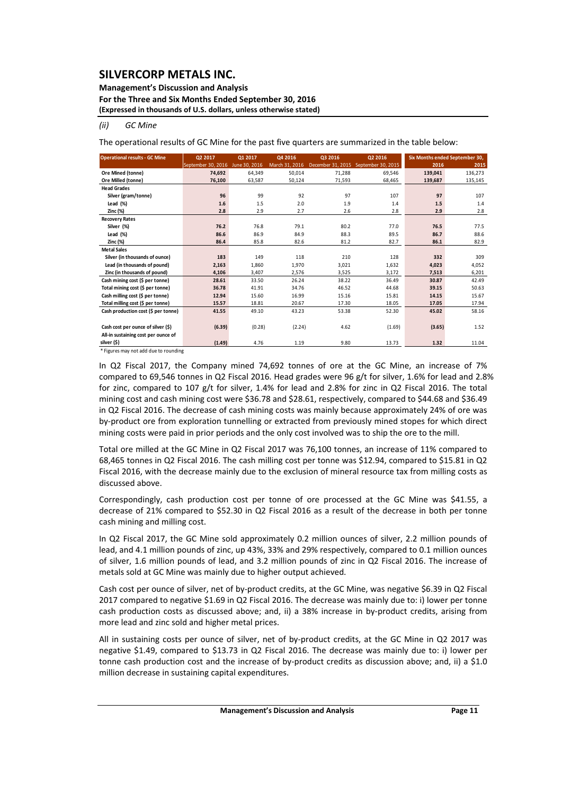### **Management's Discussion and Analysis**

**For the Three and Six Months Ended September 30, 2016**

**(Expressed in thousands of U.S. dollars, unless otherwise stated)**

#### *(ii) GC Mine*

The operational results of GC Mine for the past five quarters are summarized in the table below:

| <b>Operational results - GC Mine</b> | Q2 2017            | Q1 2017       | Q4 2016        | Q3 2016           | Q2 2016            |         | Six Months ended September 30, |
|--------------------------------------|--------------------|---------------|----------------|-------------------|--------------------|---------|--------------------------------|
|                                      | September 30, 2016 | June 30, 2016 | March 31, 2016 | December 31, 2015 | September 30, 2015 | 2016    | 2015                           |
| Ore Mined (tonne)                    | 74.692             | 64.349        | 50.014         | 71,288            | 69.546             | 139,041 | 136,273                        |
| Ore Milled (tonne)                   | 76,100             | 63,587        | 50,124         | 71,593            | 68,465             | 139,687 | 135,145                        |
| <b>Head Grades</b>                   |                    |               |                |                   |                    |         |                                |
| Silver (gram/tonne)                  | 96                 | 99            | 92             | 97                | 107                | 97      | 107                            |
| Lead $(\%)$                          | 1.6                | 1.5           | 2.0            | 1.9               | 1.4                | 1.5     | 1.4                            |
| Zinc (%)                             | 2.8                | 2.9           | 2.7            | 2.6               | 2.8                | 2.9     | 2.8                            |
| <b>Recovery Rates</b>                |                    |               |                |                   |                    |         |                                |
| Silver (%)                           | 76.2               | 76.8          | 79.1           | 80.2              | 77.0               | 76.5    | 77.5                           |
| Lead $(\%)$                          | 86.6               | 86.9          | 84.9           | 88.3              | 89.5               | 86.7    | 88.6                           |
| Zinc (%)                             | 86.4               | 85.8          | 82.6           | 81.2              | 82.7               | 86.1    | 82.9                           |
| <b>Metal Sales</b>                   |                    |               |                |                   |                    |         |                                |
| Silver (in thousands of ounce)       | 183                | 149           | 118            | 210               | 128                | 332     | 309                            |
| Lead (in thousands of pound)         | 2,163              | 1,860         | 1,970          | 3,021             | 1,632              | 4,023   | 4,052                          |
| Zinc (in thousands of pound)         | 4,106              | 3,407         | 2,576          | 3,525             | 3.172              | 7,513   | 6,201                          |
| Cash mining cost (\$ per tonne)      | 28.61              | 33.50         | 26.24          | 38.22             | 36.49              | 30.87   | 42.49                          |
| Total mining cost (\$ per tonne)     | 36.78              | 41.91         | 34.76          | 46.52             | 44.68              | 39.15   | 50.63                          |
| Cash milling cost (\$ per tonne)     | 12.94              | 15.60         | 16.99          | 15.16             | 15.81              | 14.15   | 15.67                          |
| Total milling cost (\$ per tonne)    | 15.57              | 18.81         | 20.67          | 17.30             | 18.05              | 17.05   | 17.94                          |
| Cash production cost (\$ per tonne)  | 41.55              | 49.10         | 43.23          | 53.38             | 52.30              | 45.02   | 58.16                          |
|                                      |                    |               |                |                   |                    |         |                                |
| Cash cost per ounce of silver (\$)   | (6.39)             | (0.28)        | (2.24)         | 4.62              | (1.69)             | (3.65)  | 1.52                           |
| All-in sustaining cost per ounce of  |                    |               |                |                   |                    |         |                                |
| silver (\$)                          | (1.49)             | 4.76          | 1.19           | 9.80              | 13.73              | 1.32    | 11.04                          |

\* Figures may not add due to rounding

In Q2 Fiscal 2017, the Company mined 74,692 tonnes of ore at the GC Mine, an increase of 7% compared to 69,546 tonnes in Q2 Fiscal 2016. Head grades were 96 g/t for silver, 1.6% for lead and 2.8% for zinc, compared to 107 g/t for silver, 1.4% for lead and 2.8% for zinc in Q2 Fiscal 2016. The total mining cost and cash mining cost were \$36.78 and \$28.61, respectively, compared to \$44.68 and \$36.49 in Q2 Fiscal 2016. The decrease of cash mining costs was mainly because approximately 24% of ore was by-product ore from exploration tunnelling or extracted from previously mined stopes for which direct mining costs were paid in prior periods and the only cost involved was to ship the ore to the mill.

Total ore milled at the GC Mine in Q2 Fiscal 2017 was 76,100 tonnes, an increase of 11% compared to 68,465 tonnes in Q2 Fiscal 2016. The cash milling cost per tonne was \$12.94, compared to \$15.81 in Q2 Fiscal 2016, with the decrease mainly due to the exclusion of mineral resource tax from milling costs as discussed above.

Correspondingly, cash production cost per tonne of ore processed at the GC Mine was \$41.55, a decrease of 21% compared to \$52.30 in Q2 Fiscal 2016 as a result of the decrease in both per tonne cash mining and milling cost.

In Q2 Fiscal 2017, the GC Mine sold approximately 0.2 million ounces of silver, 2.2 million pounds of lead, and 4.1 million pounds of zinc, up 43%, 33% and 29% respectively, compared to 0.1 million ounces of silver, 1.6 million pounds of lead, and 3.2 million pounds of zinc in Q2 Fiscal 2016. The increase of metals sold at GC Mine was mainly due to higher output achieved.

Cash cost per ounce of silver, net of by-product credits, at the GC Mine, was negative \$6.39 in Q2 Fiscal 2017 compared to negative \$1.69 in Q2 Fiscal 2016. The decrease was mainly due to: i) lower per tonne cash production costs as discussed above; and, ii) a 38% increase in by-product credits, arising from more lead and zinc sold and higher metal prices.

All in sustaining costs per ounce of silver, net of by‐product credits, at the GC Mine in Q2 2017 was negative \$1.49, compared to \$13.73 in Q2 Fiscal 2016. The decrease was mainly due to: i) lower per tonne cash production cost and the increase of by-product credits as discussion above; and, ii) a \$1.0 million decrease in sustaining capital expenditures.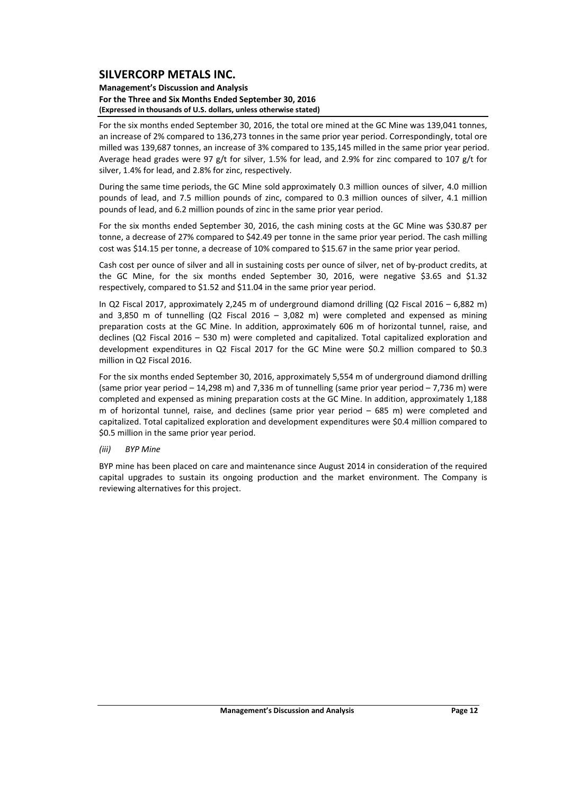#### **Management's Discussion and Analysis For the Three and Six Months Ended September 30, 2016 (Expressed in thousands of U.S. dollars, unless otherwise stated)**

For the six months ended September 30, 2016, the total ore mined at the GC Mine was 139,041 tonnes, an increase of 2% compared to 136,273 tonnes in the same prior year period. Correspondingly, total ore milled was 139,687 tonnes, an increase of 3% compared to 135,145 milled in the same prior year period. Average head grades were 97 g/t for silver, 1.5% for lead, and 2.9% for zinc compared to 107 g/t for silver, 1.4% for lead, and 2.8% for zinc, respectively.

During the same time periods, the GC Mine sold approximately 0.3 million ounces of silver, 4.0 million pounds of lead, and 7.5 million pounds of zinc, compared to 0.3 million ounces of silver, 4.1 million pounds of lead, and 6.2 million pounds of zinc in the same prior year period.

For the six months ended September 30, 2016, the cash mining costs at the GC Mine was \$30.87 per tonne, a decrease of 27% compared to \$42.49 per tonne in the same prior year period. The cash milling cost was \$14.15 per tonne, a decrease of 10% compared to \$15.67 in the same prior year period.

Cash cost per ounce of silver and all in sustaining costs per ounce of silver, net of by‐product credits, at the GC Mine, for the six months ended September 30, 2016, were negative \$3.65 and \$1.32 respectively, compared to \$1.52 and \$11.04 in the same prior year period.

In Q2 Fiscal 2017, approximately 2,245 m of underground diamond drilling (Q2 Fiscal 2016 – 6,882 m) and 3,850 m of tunnelling (Q2 Fiscal 2016 – 3,082 m) were completed and expensed as mining preparation costs at the GC Mine. In addition, approximately 606 m of horizontal tunnel, raise, and declines (Q2 Fiscal 2016 – 530 m) were completed and capitalized. Total capitalized exploration and development expenditures in Q2 Fiscal 2017 for the GC Mine were \$0.2 million compared to \$0.3 million in Q2 Fiscal 2016.

For the six months ended September 30, 2016, approximately 5,554 m of underground diamond drilling (same prior year period – 14,298 m) and 7,336 m of tunnelling (same prior year period – 7,736 m) were completed and expensed as mining preparation costs at the GC Mine. In addition, approximately 1,188 m of horizontal tunnel, raise, and declines (same prior year period – 685 m) were completed and capitalized. Total capitalized exploration and development expenditures were \$0.4 million compared to \$0.5 million in the same prior year period.

*(iii) BYP Mine*

BYP mine has been placed on care and maintenance since August 2014 in consideration of the required capital upgrades to sustain its ongoing production and the market environment. The Company is reviewing alternatives for this project.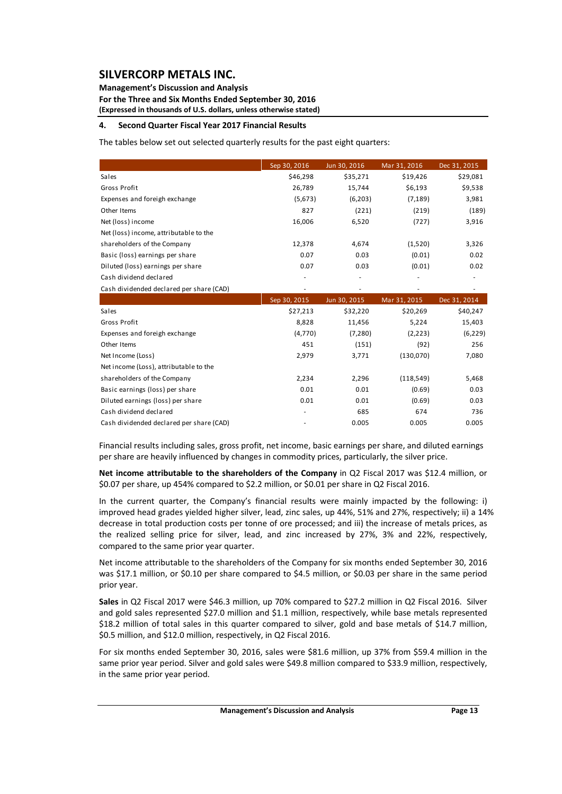### **Management's Discussion and Analysis**

**For the Three and Six Months Ended September 30, 2016 (Expressed in thousands of U.S. dollars, unless otherwise stated)**

#### **4. Second Quarter Fiscal Year 2017 Financial Results**

The tables below set out selected quarterly results for the past eight quarters:

|                                          | Sep 30, 2016 | Jun 30, 2016 | Mar 31, 2016 | Dec 31, 2015 |
|------------------------------------------|--------------|--------------|--------------|--------------|
| Sales                                    | \$46,298     | \$35,271     | \$19,426     | \$29,081     |
| Gross Profit                             | 26,789       | 15,744       | \$6,193      | \$9,538      |
| Expenses and foreigh exchange            | (5,673)      | (6,203)      | (7, 189)     | 3,981        |
| Other Items                              | 827          | (221)        | (219)        | (189)        |
| Net (loss) income                        | 16,006       | 6,520        | (727)        | 3,916        |
| Net (loss) income, attributable to the   |              |              |              |              |
| shareholders of the Company              | 12,378       | 4,674        | (1,520)      | 3,326        |
| Basic (loss) earnings per share          | 0.07         | 0.03         | (0.01)       | 0.02         |
| Diluted (loss) earnings per share        | 0.07         | 0.03         | (0.01)       | 0.02         |
| Cash dividend declared                   |              |              |              |              |
| Cash dividended declared per share (CAD) |              |              |              |              |
|                                          |              |              |              |              |
|                                          | Sep 30, 2015 | Jun 30, 2015 | Mar 31, 2015 | Dec 31, 2014 |
| Sales                                    | \$27,213     | \$32,220     | \$20,269     | \$40,247     |
| Gross Profit                             | 8,828        | 11,456       | 5,224        | 15,403       |
| Expenses and foreigh exchange            | (4,770)      | (7, 280)     | (2, 223)     | (6, 229)     |
| Other Items                              | 451          | (151)        | (92)         | 256          |
| Net Income (Loss)                        | 2,979        | 3,771        | (130,070)    | 7,080        |
| Net income (Loss), attributable to the   |              |              |              |              |
| shareholders of the Company              | 2,234        | 2,296        | (118, 549)   | 5,468        |
| Basic earnings (loss) per share          | 0.01         | 0.01         | (0.69)       | 0.03         |
| Diluted earnings (loss) per share        | 0.01         | 0.01         | (0.69)       | 0.03         |
| Cash dividend declared                   |              | 685          | 674          | 736          |

Financial results including sales, gross profit, net income, basic earnings per share, and diluted earnings per share are heavily influenced by changes in commodity prices, particularly, the silver price.

**Net income attributable to the shareholders of the Company** in Q2 Fiscal 2017 was \$12.4 million, or \$0.07 per share, up 454% compared to \$2.2 million, or \$0.01 per share in Q2 Fiscal 2016.

In the current quarter, the Company's financial results were mainly impacted by the following: i) improved head grades yielded higher silver, lead, zinc sales, up 44%, 51% and 27%, respectively; ii) a 14% decrease in total production costs per tonne of ore processed; and iii) the increase of metals prices, as the realized selling price for silver, lead, and zinc increased by 27%, 3% and 22%, respectively, compared to the same prior year quarter.

Net income attributable to the shareholders of the Company for six months ended September 30, 2016 was \$17.1 million, or \$0.10 per share compared to \$4.5 million, or \$0.03 per share in the same period prior year.

**Sales** in Q2 Fiscal 2017 were \$46.3 million, up 70% compared to \$27.2 million in Q2 Fiscal 2016. Silver and gold sales represented \$27.0 million and \$1.1 million, respectively, while base metals represented \$18.2 million of total sales in this quarter compared to silver, gold and base metals of \$14.7 million, \$0.5 million, and \$12.0 million, respectively, in Q2 Fiscal 2016.

For six months ended September 30, 2016, sales were \$81.6 million, up 37% from \$59.4 million in the same prior year period. Silver and gold sales were \$49.8 million compared to \$33.9 million, respectively, in the same prior year period.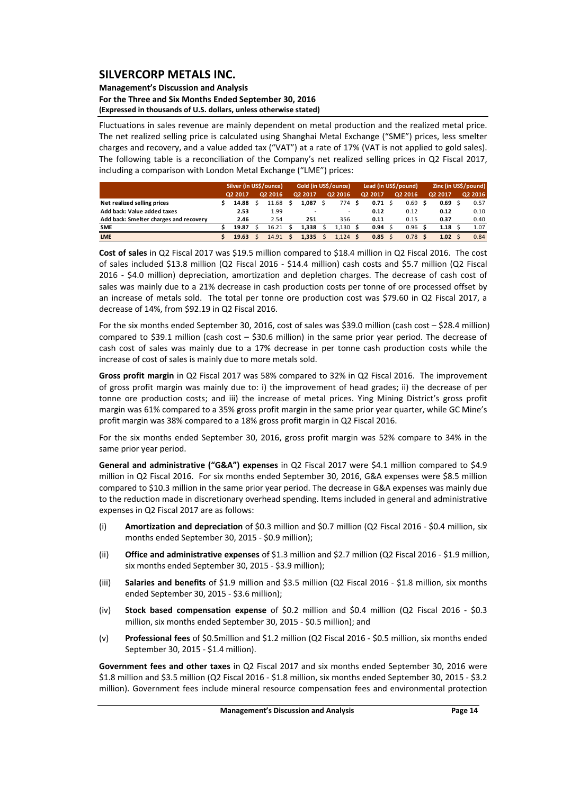#### **Management's Discussion and Analysis For the Three and Six Months Ended September 30, 2016 (Expressed in thousands of U.S. dollars, unless otherwise stated)**

Fluctuations in sales revenue are mainly dependent on metal production and the realized metal price. The net realized selling price is calculated using Shanghai Metal Exchange ("SME") prices, less smelter charges and recovery, and a value added tax ("VAT") at a rate of 17% (VAT is not applied to gold sales). The following table is a reconciliation of the Company's net realized selling prices in Q2 Fiscal 2017, including a comparison with London Metal Exchange ("LME") prices:

|                                        | Silver (in US\$/ounce) |  |         | Gold (in US\$/ounce) |         |  | Lead (in US\$/pound) |  |         |  | Zinc (in US\$/pound) |  |         |  |         |
|----------------------------------------|------------------------|--|---------|----------------------|---------|--|----------------------|--|---------|--|----------------------|--|---------|--|---------|
|                                        | 02 2017                |  | Q2 2016 |                      | Q2 2017 |  | Q2 2016              |  | Q2 2017 |  | Q2 2016              |  | Q2 2017 |  | 02 2016 |
| Net realized selling prices            | 14.88                  |  | 11.68   |                      | 1.087   |  | 774 S                |  | 0.71    |  | 0.69                 |  | 0.69    |  | 0.57    |
| Add back: Value added taxes            | 2.53                   |  | 1.99    |                      |         |  | ۰                    |  | 0.12    |  | 0.12                 |  | 0.12    |  | 0.10    |
| Add back: Smelter charges and recovery | 2.46                   |  | 2.54    |                      | 251     |  | 356                  |  | 0.11    |  | 0.15                 |  | 0.37    |  | 0.40    |
| <b>SME</b>                             | 19.87                  |  | 16.21   |                      | 1.338   |  | 1.130S               |  | 0.94    |  | 0.96                 |  | 1.18    |  | 1.07    |
| <b>LME</b>                             | 19.63                  |  | 14.91   |                      | 1.335   |  | $1.124$ \$           |  | 0.85    |  | $0.78$ \$            |  | 1.02    |  | 0.84    |

**Cost of sales** in Q2 Fiscal 2017 was \$19.5 million compared to \$18.4 million in Q2 Fiscal 2016. The cost of sales included \$13.8 million (Q2 Fiscal 2016 ‐ \$14.4 million) cash costs and \$5.7 million (Q2 Fiscal 2016 - \$4.0 million) depreciation, amortization and depletion charges. The decrease of cash cost of sales was mainly due to a 21% decrease in cash production costs per tonne of ore processed offset by an increase of metals sold. The total per tonne ore production cost was \$79.60 in Q2 Fiscal 2017, a decrease of 14%, from \$92.19 in Q2 Fiscal 2016.

For the six months ended September 30, 2016, cost of sales was \$39.0 million (cash cost – \$28.4 million) compared to \$39.1 million (cash cost  $-$  \$30.6 million) in the same prior year period. The decrease of cash cost of sales was mainly due to a 17% decrease in per tonne cash production costs while the increase of cost of sales is mainly due to more metals sold.

**Gross profit margin** in Q2 Fiscal 2017 was 58% compared to 32% in Q2 Fiscal 2016. The improvement of gross profit margin was mainly due to: i) the improvement of head grades; ii) the decrease of per tonne ore production costs; and iii) the increase of metal prices. Ying Mining District's gross profit margin was 61% compared to a 35% gross profit margin in the same prior year quarter, while GC Mine's profit margin was 38% compared to a 18% gross profit margin in Q2 Fiscal 2016.

For the six months ended September 30, 2016, gross profit margin was 52% compare to 34% in the same prior year period.

**General and administrative ("G&A") expenses** in Q2 Fiscal 2017 were \$4.1 million compared to \$4.9 million in Q2 Fiscal 2016. For six months ended September 30, 2016, G&A expenses were \$8.5 million compared to \$10.3 million in the same prior year period. The decrease in G&A expenses was mainly due to the reduction made in discretionary overhead spending. Items included in general and administrative expenses in Q2 Fiscal 2017 are as follows:

- (i) **Amortization and depreciation** of \$0.3 million and \$0.7 million (Q2 Fiscal 2016 ‐ \$0.4 million, six months ended September 30, 2015 ‐ \$0.9 million);
- (ii) **Office and administrative expenses** of \$1.3 million and \$2.7 million (Q2 Fiscal 2016 ‐ \$1.9 million, six months ended September 30, 2015 ‐ \$3.9 million);
- (iii) **Salaries and benefits** of \$1.9 million and \$3.5 million (Q2 Fiscal 2016 ‐ \$1.8 million, six months ended September 30, 2015 ‐ \$3.6 million);
- (iv) **Stock based compensation expense** of \$0.2 million and \$0.4 million (Q2 Fiscal 2016 ‐ \$0.3 million, six months ended September 30, 2015 ‐ \$0.5 million); and
- (v) **Professional fees** of \$0.5million and \$1.2 million (Q2 Fiscal 2016 ‐ \$0.5 million, six months ended September 30, 2015 ‐ \$1.4 million).

**Government fees and other taxes** in Q2 Fiscal 2017 and six months ended September 30, 2016 were \$1.8 million and \$3.5 million (Q2 Fiscal 2016 ‐ \$1.8 million, six months ended September 30, 2015 ‐ \$3.2 million). Government fees include mineral resource compensation fees and environmental protection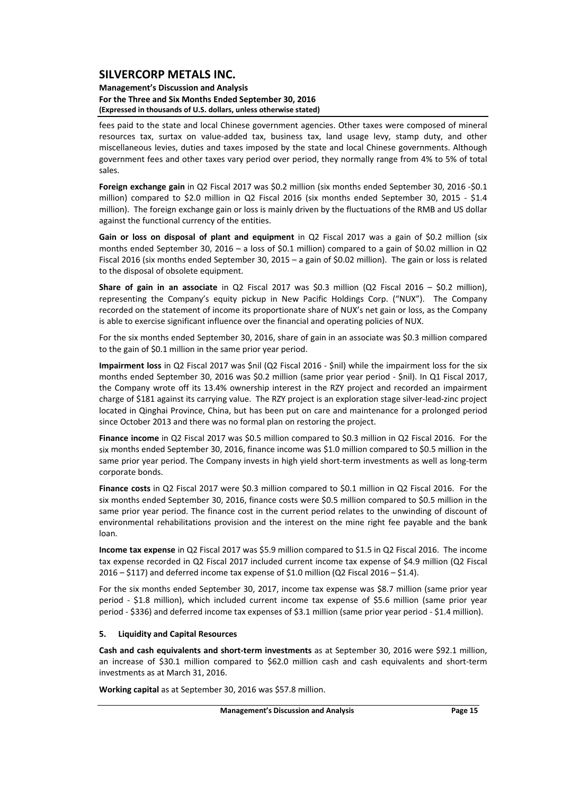#### **Management's Discussion and Analysis For the Three and Six Months Ended September 30, 2016 (Expressed in thousands of U.S. dollars, unless otherwise stated)**

fees paid to the state and local Chinese government agencies. Other taxes were composed of mineral resources tax, surtax on value‐added tax, business tax, land usage levy, stamp duty, and other miscellaneous levies, duties and taxes imposed by the state and local Chinese governments. Although government fees and other taxes vary period over period, they normally range from 4% to 5% of total sales.

**Foreign exchange gain** in Q2 Fiscal 2017 was \$0.2 million (six months ended September 30, 2016 ‐\$0.1 million) compared to \$2.0 million in Q2 Fiscal 2016 (six months ended September 30, 2015 - \$1.4 million). The foreign exchange gain or loss is mainly driven by the fluctuations of the RMB and US dollar against the functional currency of the entities.

**Gain or loss on disposal of plant and equipment** in Q2 Fiscal 2017 was a gain of \$0.2 million (six months ended September 30, 2016 – a loss of \$0.1 million) compared to a gain of \$0.02 million in Q2 Fiscal 2016 (six months ended September 30, 2015 – a gain of \$0.02 million). The gain or loss is related to the disposal of obsolete equipment.

**Share of gain in an associate** in Q2 Fiscal 2017 was \$0.3 million (Q2 Fiscal 2016 – \$0.2 million), representing the Company's equity pickup in New Pacific Holdings Corp. ("NUX"). The Company recorded on the statement of income its proportionate share of NUX's net gain or loss, as the Company is able to exercise significant influence over the financial and operating policies of NUX.

For the six months ended September 30, 2016, share of gain in an associate was \$0.3 million compared to the gain of \$0.1 million in the same prior year period.

**Impairment loss** in Q2 Fiscal 2017 was \$nil (Q2 Fiscal 2016 ‐ \$nil) while the impairment loss for the six months ended September 30, 2016 was \$0.2 million (same prior year period ‐ \$nil). In Q1 Fiscal 2017, the Company wrote off its 13.4% ownership interest in the RZY project and recorded an impairment charge of \$181 against its carrying value. The RZY project is an exploration stage silver-lead-zinc project located in Qinghai Province, China, but has been put on care and maintenance for a prolonged period since October 2013 and there was no formal plan on restoring the project.

**Finance income** in Q2 Fiscal 2017 was \$0.5 million compared to \$0.3 million in Q2 Fiscal 2016. For the six months ended September 30, 2016, finance income was \$1.0 million compared to \$0.5 million in the same prior year period. The Company invests in high yield short-term investments as well as long-term corporate bonds.

**Finance costs** in Q2 Fiscal 2017 were \$0.3 million compared to \$0.1 million in Q2 Fiscal 2016. For the six months ended September 30, 2016, finance costs were \$0.5 million compared to \$0.5 million in the same prior year period. The finance cost in the current period relates to the unwinding of discount of environmental rehabilitations provision and the interest on the mine right fee payable and the bank loan.

**Income tax expense** in Q2 Fiscal 2017 was \$5.9 million compared to \$1.5 in Q2 Fiscal 2016. The income tax expense recorded in Q2 Fiscal 2017 included current income tax expense of \$4.9 million (Q2 Fiscal  $2016 - $117$ ) and deferred income tax expense of \$1.0 million (Q2 Fiscal 2016 – \$1.4).

For the six months ended September 30, 2017, income tax expense was \$8.7 million (same prior year period - \$1.8 million), which included current income tax expense of \$5.6 million (same prior year period ‐ \$336) and deferred income tax expenses of \$3.1 million (same prior year period ‐ \$1.4 million).

#### **5. Liquidity and Capital Resources**

**Cash and cash equivalents and short‐term investments** as at September 30, 2016 were \$92.1 million, an increase of \$30.1 million compared to \$62.0 million cash and cash equivalents and short‐term investments as at March 31, 2016.

**Working capital** as at September 30, 2016 was \$57.8 million.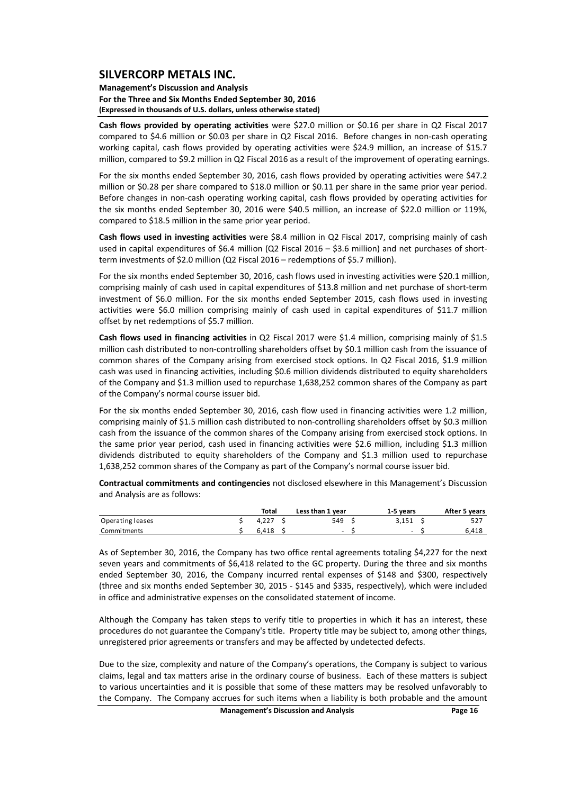#### **Management's Discussion and Analysis For the Three and Six Months Ended September 30, 2016 (Expressed in thousands of U.S. dollars, unless otherwise stated)**

**Cash flows provided by operating activities** were \$27.0 million or \$0.16 per share in Q2 Fiscal 2017 compared to \$4.6 million or \$0.03 per share in Q2 Fiscal 2016. Before changes in non‐cash operating working capital, cash flows provided by operating activities were \$24.9 million, an increase of \$15.7 million, compared to \$9.2 million in Q2 Fiscal 2016 as a result of the improvement of operating earnings.

For the six months ended September 30, 2016, cash flows provided by operating activities were \$47.2 million or \$0.28 per share compared to \$18.0 million or \$0.11 per share in the same prior year period. Before changes in non‐cash operating working capital, cash flows provided by operating activities for the six months ended September 30, 2016 were \$40.5 million, an increase of \$22.0 million or 119%, compared to \$18.5 million in the same prior year period.

**Cash flows used in investing activities** were \$8.4 million in Q2 Fiscal 2017, comprising mainly of cash used in capital expenditures of \$6.4 million (Q2 Fiscal 2016 – \$3.6 million) and net purchases of shortterm investments of \$2.0 million (Q2 Fiscal 2016 – redemptions of \$5.7 million).

For the six months ended September 30, 2016, cash flows used in investing activities were \$20.1 million, comprising mainly of cash used in capital expenditures of \$13.8 million and net purchase of short‐term investment of \$6.0 million. For the six months ended September 2015, cash flows used in investing activities were \$6.0 million comprising mainly of cash used in capital expenditures of \$11.7 million offset by net redemptions of \$5.7 million.

**Cash flows used in financing activities** in Q2 Fiscal 2017 were \$1.4 million, comprising mainly of \$1.5 million cash distributed to non-controlling shareholders offset by \$0.1 million cash from the issuance of common shares of the Company arising from exercised stock options. In Q2 Fiscal 2016, \$1.9 million cash was used in financing activities, including \$0.6 million dividends distributed to equity shareholders of the Company and \$1.3 million used to repurchase 1,638,252 common shares of the Company as part of the Company's normal course issuer bid.

For the six months ended September 30, 2016, cash flow used in financing activities were 1.2 million, comprising mainly of \$1.5 million cash distributed to non-controlling shareholders offset by \$0.3 million cash from the issuance of the common shares of the Company arising from exercised stock options. In the same prior year period, cash used in financing activities were \$2.6 million, including \$1.3 million dividends distributed to equity shareholders of the Company and \$1.3 million used to repurchase 1,638,252 common shares of the Company as part of the Company's normal course issuer bid.

**Contractual commitments and contingencies** not disclosed elsewhere in this Management's Discussion and Analysis are as follows:

|                  | Total | Less than 1 year | 1-5 vears                | After 5 years |
|------------------|-------|------------------|--------------------------|---------------|
| Operating leases | 4.227 | 549              | 3.151                    | 527           |
| Commitments      | 6.418 | $\sim$           | $\overline{\phantom{0}}$ | 6.418         |

As of September 30, 2016, the Company has two office rental agreements totaling \$4,227 for the next seven years and commitments of \$6,418 related to the GC property. During the three and six months ended September 30, 2016, the Company incurred rental expenses of \$148 and \$300, respectively (three and six months ended September 30, 2015 ‐ \$145 and \$335, respectively), which were included in office and administrative expenses on the consolidated statement of income.

Although the Company has taken steps to verify title to properties in which it has an interest, these procedures do not guarantee the Company's title. Property title may be subject to, among other things, unregistered prior agreements or transfers and may be affected by undetected defects.

Due to the size, complexity and nature of the Company's operations, the Company is subject to various claims, legal and tax matters arise in the ordinary course of business. Each of these matters is subject to various uncertainties and it is possible that some of these matters may be resolved unfavorably to the Company. The Company accrues for such items when a liability is both probable and the amount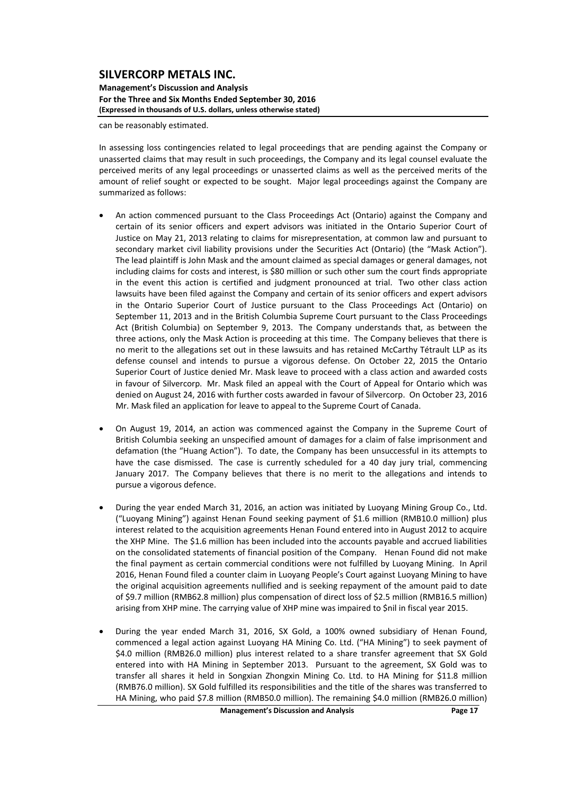**Management's Discussion and Analysis For the Three and Six Months Ended September 30, 2016 (Expressed in thousands of U.S. dollars, unless otherwise stated)**

can be reasonably estimated.

In assessing loss contingencies related to legal proceedings that are pending against the Company or unasserted claims that may result in such proceedings, the Company and its legal counsel evaluate the perceived merits of any legal proceedings or unasserted claims as well as the perceived merits of the amount of relief sought or expected to be sought. Major legal proceedings against the Company are summarized as follows:

- An action commenced pursuant to the Class Proceedings Act (Ontario) against the Company and certain of its senior officers and expert advisors was initiated in the Ontario Superior Court of Justice on May 21, 2013 relating to claims for misrepresentation, at common law and pursuant to secondary market civil liability provisions under the Securities Act (Ontario) (the "Mask Action"). The lead plaintiff is John Mask and the amount claimed as special damages or general damages, not including claims for costs and interest, is \$80 million or such other sum the court finds appropriate in the event this action is certified and judgment pronounced at trial. Two other class action lawsuits have been filed against the Company and certain of its senior officers and expert advisors in the Ontario Superior Court of Justice pursuant to the Class Proceedings Act (Ontario) on September 11, 2013 and in the British Columbia Supreme Court pursuant to the Class Proceedings Act (British Columbia) on September 9, 2013. The Company understands that, as between the three actions, only the Mask Action is proceeding at this time. The Company believes that there is no merit to the allegations set out in these lawsuits and has retained McCarthy Tétrault LLP as its defense counsel and intends to pursue a vigorous defense. On October 22, 2015 the Ontario Superior Court of Justice denied Mr. Mask leave to proceed with a class action and awarded costs in favour of Silvercorp. Mr. Mask filed an appeal with the Court of Appeal for Ontario which was denied on August 24, 2016 with further costs awarded in favour of Silvercorp. On October 23, 2016 Mr. Mask filed an application for leave to appeal to the Supreme Court of Canada.
- On August 19, 2014, an action was commenced against the Company in the Supreme Court of British Columbia seeking an unspecified amount of damages for a claim of false imprisonment and defamation (the "Huang Action"). To date, the Company has been unsuccessful in its attempts to have the case dismissed. The case is currently scheduled for a 40 day jury trial, commencing January 2017. The Company believes that there is no merit to the allegations and intends to pursue a vigorous defence.
- During the year ended March 31, 2016, an action was initiated by Luoyang Mining Group Co., Ltd. ("Luoyang Mining") against Henan Found seeking payment of \$1.6 million (RMB10.0 million) plus interest related to the acquisition agreements Henan Found entered into in August 2012 to acquire the XHP Mine. The \$1.6 million has been included into the accounts payable and accrued liabilities on the consolidated statements of financial position of the Company. Henan Found did not make the final payment as certain commercial conditions were not fulfilled by Luoyang Mining. In April 2016, Henan Found filed a counter claim in Luoyang People's Court against Luoyang Mining to have the original acquisition agreements nullified and is seeking repayment of the amount paid to date of \$9.7 million (RMB62.8 million) plus compensation of direct loss of \$2.5 million (RMB16.5 million) arising from XHP mine. The carrying value of XHP mine was impaired to \$nil in fiscal year 2015.
- During the year ended March 31, 2016, SX Gold, a 100% owned subsidiary of Henan Found, commenced a legal action against Luoyang HA Mining Co. Ltd. ("HA Mining") to seek payment of \$4.0 million (RMB26.0 million) plus interest related to a share transfer agreement that SX Gold entered into with HA Mining in September 2013. Pursuant to the agreement, SX Gold was to transfer all shares it held in Songxian Zhongxin Mining Co. Ltd. to HA Mining for \$11.8 million (RMB76.0 million). SX Gold fulfilled its responsibilities and the title of the shares was transferred to HA Mining, who paid \$7.8 million (RMB50.0 million). The remaining \$4.0 million (RMB26.0 million)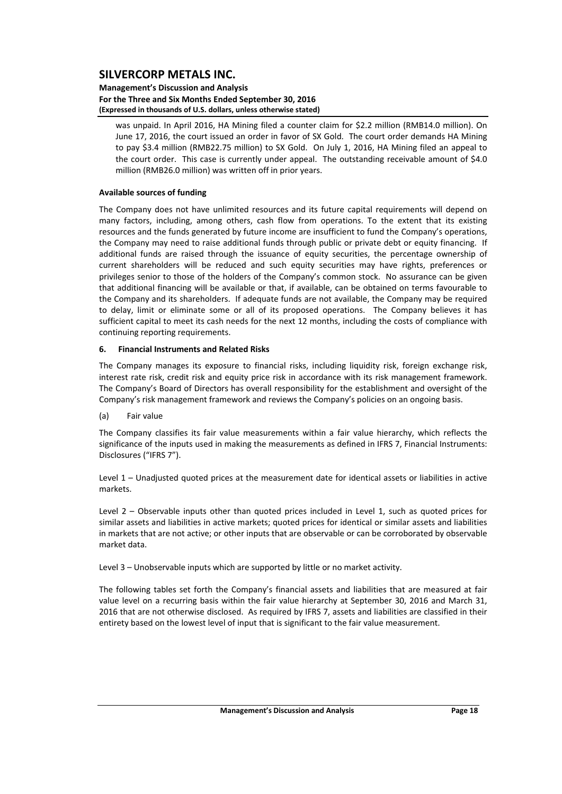#### **Management's Discussion and Analysis For the Three and Six Months Ended September 30, 2016 (Expressed in thousands of U.S. dollars, unless otherwise stated)**

was unpaid. In April 2016, HA Mining filed a counter claim for \$2.2 million (RMB14.0 million). On June 17, 2016, the court issued an order in favor of SX Gold. The court order demands HA Mining to pay \$3.4 million (RMB22.75 million) to SX Gold. On July 1, 2016, HA Mining filed an appeal to the court order. This case is currently under appeal. The outstanding receivable amount of \$4.0 million (RMB26.0 million) was written off in prior years.

### **Available sources of funding**

The Company does not have unlimited resources and its future capital requirements will depend on many factors, including, among others, cash flow from operations. To the extent that its existing resources and the funds generated by future income are insufficient to fund the Company's operations, the Company may need to raise additional funds through public or private debt or equity financing. If additional funds are raised through the issuance of equity securities, the percentage ownership of current shareholders will be reduced and such equity securities may have rights, preferences or privileges senior to those of the holders of the Company's common stock. No assurance can be given that additional financing will be available or that, if available, can be obtained on terms favourable to the Company and its shareholders. If adequate funds are not available, the Company may be required to delay, limit or eliminate some or all of its proposed operations. The Company believes it has sufficient capital to meet its cash needs for the next 12 months, including the costs of compliance with continuing reporting requirements.

#### **6. Financial Instruments and Related Risks**

The Company manages its exposure to financial risks, including liquidity risk, foreign exchange risk, interest rate risk, credit risk and equity price risk in accordance with its risk management framework. The Company's Board of Directors has overall responsibility for the establishment and oversight of the Company's risk management framework and reviews the Company's policies on an ongoing basis.

#### (a) Fair value

The Company classifies its fair value measurements within a fair value hierarchy, which reflects the significance of the inputs used in making the measurements as defined in IFRS 7, Financial Instruments: Disclosures ("IFRS 7").

Level 1 – Unadjusted quoted prices at the measurement date for identical assets or liabilities in active markets.

Level 2 – Observable inputs other than quoted prices included in Level 1, such as quoted prices for similar assets and liabilities in active markets; quoted prices for identical or similar assets and liabilities in markets that are not active; or other inputs that are observable or can be corroborated by observable market data.

Level 3 – Unobservable inputs which are supported by little or no market activity.

The following tables set forth the Company's financial assets and liabilities that are measured at fair value level on a recurring basis within the fair value hierarchy at September 30, 2016 and March 31, 2016 that are not otherwise disclosed. As required by IFRS 7, assets and liabilities are classified in their entirety based on the lowest level of input that is significant to the fair value measurement.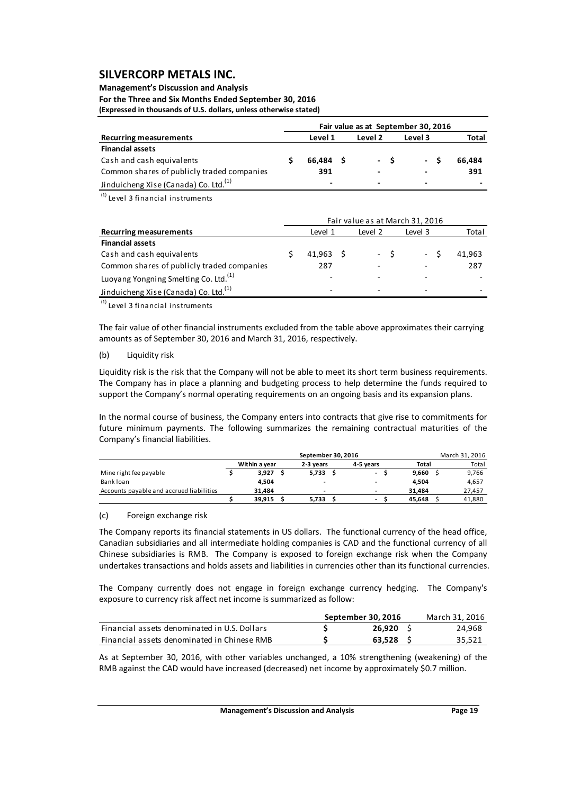#### **Management's Discussion and Analysis**

**For the Three and Six Months Ended September 30, 2016 (Expressed in thousands of U.S. dollars, unless otherwise stated)**

|                                                   | Fair value as at September 30, 2016 |                          |  |                |     |                          |  |        |
|---------------------------------------------------|-------------------------------------|--------------------------|--|----------------|-----|--------------------------|--|--------|
| <b>Recurring measurements</b>                     |                                     | Level 1                  |  | Level 2        |     | Level 3                  |  | Total  |
| <b>Financial assets</b>                           |                                     |                          |  |                |     |                          |  |        |
| Cash and cash equivalents                         |                                     | 66.484 S                 |  |                | - S | $-S$                     |  | 66.484 |
| Common shares of publicly traded companies        |                                     | 391                      |  | $\blacksquare$ |     | $\overline{\phantom{a}}$ |  | 391    |
| Jinduicheng Xise (Canada) Co. Ltd. <sup>(1)</sup> |                                     | $\overline{\phantom{0}}$ |  | -              |     | $\overline{\phantom{a}}$ |  |        |

 $<sup>(1)</sup>$  Level 3 financial instruments</sup>

|                                                   | Fair value as at March 31, 2016 |                          |  |                          |  |         |        |
|---------------------------------------------------|---------------------------------|--------------------------|--|--------------------------|--|---------|--------|
| <b>Recurring measurements</b>                     |                                 | Level 1                  |  | Level 2                  |  | Level 3 | Total  |
| <b>Financial assets</b>                           |                                 |                          |  |                          |  |         |        |
| Cash and cash equivalents                         |                                 | $41.963 \quad S$         |  | $-S$                     |  | $-5$    | 41.963 |
| Common shares of publicly traded companies        |                                 | 287                      |  |                          |  |         | 287    |
| Luoyang Yongning Smelting Co. Ltd. <sup>(1)</sup> |                                 | $\blacksquare$           |  |                          |  |         |        |
| Jinduicheng Xise (Canada) Co. Ltd. <sup>(1)</sup> |                                 | $\overline{\phantom{a}}$ |  | $\overline{\phantom{0}}$ |  | -       | -      |

 $(1)$  Level 3 financial instruments

The fair value of other financial instruments excluded from the table above approximates their carrying amounts as of September 30, 2016 and March 31, 2016, respectively.

#### (b) Liquidity risk

Liquidity risk is the risk that the Company will not be able to meet its short term business requirements. The Company has in place a planning and budgeting process to help determine the funds required to support the Company's normal operating requirements on an ongoing basis and its expansion plans.

In the normal course of business, the Company enters into contracts that give rise to commitments for future minimum payments. The following summarizes the remaining contractual maturities of the Company's financial liabilities.

|                                          | March 31, 2016<br>September 30, 2016 |  |                |  |                          |        |  |        |  |  |  |
|------------------------------------------|--------------------------------------|--|----------------|--|--------------------------|--------|--|--------|--|--|--|
|                                          | Within a year                        |  | 2-3 years      |  | 4-5 years                | Total  |  | Total  |  |  |  |
| Mine right fee payable                   | 3.927                                |  | 5,733          |  | $\overline{\phantom{a}}$ | 9.660  |  | 9,766  |  |  |  |
| Bank loan                                | 4.504                                |  | $\blacksquare$ |  | -                        | 4.504  |  | 4.657  |  |  |  |
| Accounts payable and accrued liabilities | 31.484                               |  | $\blacksquare$ |  | $\overline{\phantom{a}}$ | 31.484 |  | 27,457 |  |  |  |
|                                          | 39.915                               |  | 5,733          |  | $\overline{\phantom{a}}$ | 45.648 |  | 41,880 |  |  |  |

#### (c) Foreign exchange risk

The Company reports its financial statements in US dollars. The functional currency of the head office, Canadian subsidiaries and all intermediate holding companies is CAD and the functional currency of all Chinese subsidiaries is RMB. The Company is exposed to foreign exchange risk when the Company undertakes transactions and holds assets and liabilities in currencies other than its functional currencies.

The Company currently does not engage in foreign exchange currency hedging. The Company's exposure to currency risk affect net income is summarized as follow:

|                                              | September 30, 2016 | March 31. 2016 |
|----------------------------------------------|--------------------|----------------|
| Financial assets denominated in U.S. Dollars | 26.920             | 24.968         |
| Financial assets denominated in Chinese RMB  | 63.528             | 35,521         |

As at September 30, 2016, with other variables unchanged, a 10% strengthening (weakening) of the RMB against the CAD would have increased (decreased) net income by approximately \$0.7 million.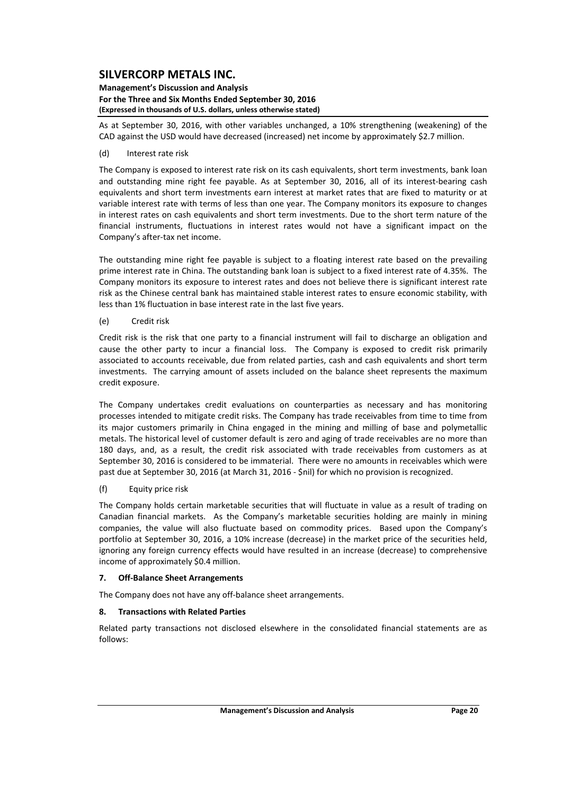#### **Management's Discussion and Analysis For the Three and Six Months Ended September 30, 2016 (Expressed in thousands of U.S. dollars, unless otherwise stated)**

As at September 30, 2016, with other variables unchanged, a 10% strengthening (weakening) of the CAD against the USD would have decreased (increased) net income by approximately \$2.7 million.

### (d) Interest rate risk

The Company is exposed to interest rate risk on its cash equivalents, short term investments, bank loan and outstanding mine right fee payable. As at September 30, 2016, all of its interest-bearing cash equivalents and short term investments earn interest at market rates that are fixed to maturity or at variable interest rate with terms of less than one year. The Company monitors its exposure to changes in interest rates on cash equivalents and short term investments. Due to the short term nature of the financial instruments, fluctuations in interest rates would not have a significant impact on the Company's after‐tax net income.

The outstanding mine right fee payable is subject to a floating interest rate based on the prevailing prime interest rate in China. The outstanding bank loan is subject to a fixed interest rate of 4.35%. The Company monitors its exposure to interest rates and does not believe there is significant interest rate risk as the Chinese central bank has maintained stable interest rates to ensure economic stability, with less than 1% fluctuation in base interest rate in the last five years.

### (e) Credit risk

Credit risk is the risk that one party to a financial instrument will fail to discharge an obligation and cause the other party to incur a financial loss. The Company is exposed to credit risk primarily associated to accounts receivable, due from related parties, cash and cash equivalents and short term investments. The carrying amount of assets included on the balance sheet represents the maximum credit exposure.

The Company undertakes credit evaluations on counterparties as necessary and has monitoring processes intended to mitigate credit risks. The Company has trade receivables from time to time from its major customers primarily in China engaged in the mining and milling of base and polymetallic metals. The historical level of customer default is zero and aging of trade receivables are no more than 180 days, and, as a result, the credit risk associated with trade receivables from customers as at September 30, 2016 is considered to be immaterial. There were no amounts in receivables which were past due at September 30, 2016 (at March 31, 2016 ‐ \$nil) for which no provision is recognized.

### (f) Equity price risk

The Company holds certain marketable securities that will fluctuate in value as a result of trading on Canadian financial markets. As the Company's marketable securities holding are mainly in mining companies, the value will also fluctuate based on commodity prices. Based upon the Company's portfolio at September 30, 2016, a 10% increase (decrease) in the market price of the securities held, ignoring any foreign currency effects would have resulted in an increase (decrease) to comprehensive income of approximately \$0.4 million.

#### **7. Off‐Balance Sheet Arrangements**

The Company does not have any off‐balance sheet arrangements.

#### **8. Transactions with Related Parties**

Related party transactions not disclosed elsewhere in the consolidated financial statements are as follows: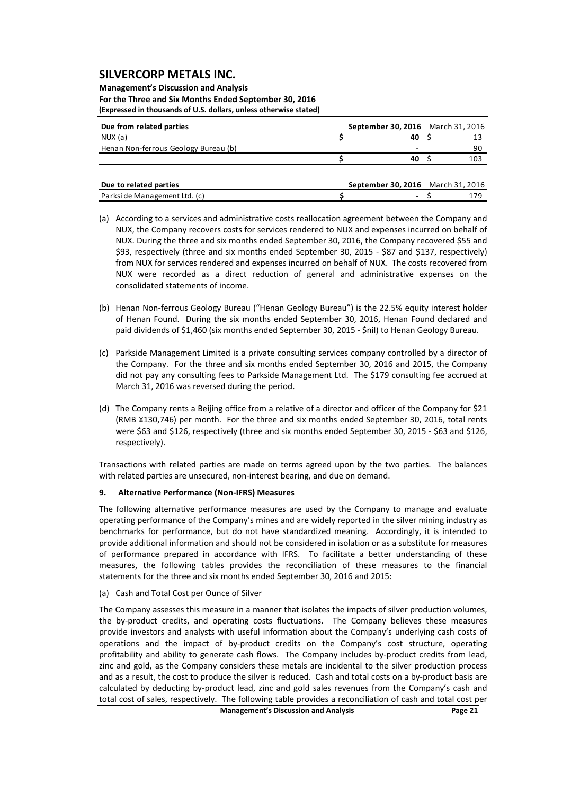#### **Management's Discussion and Analysis For the Three and Six Months Ended September 30, 2016 (Expressed in thousands of U.S. dollars, unless otherwise stated)**

| 40 |                                   |
|----|-----------------------------------|
| -  | 90                                |
| 40 | 103                               |
|    | September 30, 2016 March 31, 2016 |

| Due to related parties       | <b>September 30, 2016</b> March 31, 2016 |  |
|------------------------------|------------------------------------------|--|
| Parkside Management Ltd. (c) |                                          |  |

- (a) According to a services and administrative costs reallocation agreement between the Company and NUX, the Company recovers costs for services rendered to NUX and expenses incurred on behalf of NUX. During the three and six months ended September 30, 2016, the Company recovered \$55 and \$93, respectively (three and six months ended September 30, 2015 - \$87 and \$137, respectively) from NUX for services rendered and expenses incurred on behalf of NUX. The costs recovered from NUX were recorded as a direct reduction of general and administrative expenses on the consolidated statements of income.
- (b) Henan Non‐ferrous Geology Bureau ("Henan Geology Bureau") is the 22.5% equity interest holder of Henan Found. During the six months ended September 30, 2016, Henan Found declared and paid dividends of \$1,460 (six months ended September 30, 2015 ‐ \$nil) to Henan Geology Bureau.
- (c) Parkside Management Limited is a private consulting services company controlled by a director of the Company. For the three and six months ended September 30, 2016 and 2015, the Company did not pay any consulting fees to Parkside Management Ltd. The \$179 consulting fee accrued at March 31, 2016 was reversed during the period.
- (d) The Company rents a Beijing office from a relative of a director and officer of the Company for \$21 (RMB ¥130,746) per month. For the three and six months ended September 30, 2016, total rents were \$63 and \$126, respectively (three and six months ended September 30, 2015 - \$63 and \$126, respectively).

Transactions with related parties are made on terms agreed upon by the two parties. The balances with related parties are unsecured, non-interest bearing, and due on demand.

### **9. Alternative Performance (Non‐IFRS) Measures**

The following alternative performance measures are used by the Company to manage and evaluate operating performance of the Company's mines and are widely reported in the silver mining industry as benchmarks for performance, but do not have standardized meaning. Accordingly, it is intended to provide additional information and should not be considered in isolation or as a substitute for measures of performance prepared in accordance with IFRS. To facilitate a better understanding of these measures, the following tables provides the reconciliation of these measures to the financial statements for the three and six months ended September 30, 2016 and 2015:

(a) Cash and Total Cost per Ounce of Silver

The Company assesses this measure in a manner that isolates the impacts of silver production volumes, the by-product credits, and operating costs fluctuations. The Company believes these measures provide investors and analysts with useful information about the Company's underlying cash costs of operations and the impact of by‐product credits on the Company's cost structure, operating profitability and ability to generate cash flows. The Company includes by-product credits from lead, zinc and gold, as the Company considers these metals are incidental to the silver production process and as a result, the cost to produce the silver is reduced. Cash and total costs on a by‐product basis are calculated by deducting by‐product lead, zinc and gold sales revenues from the Company's cash and total cost of sales, respectively. The following table provides a reconciliation of cash and total cost per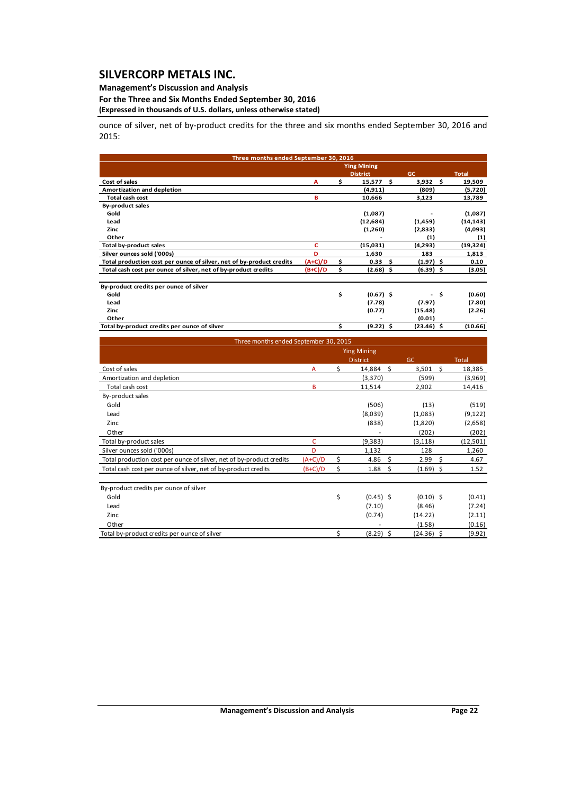### **Management's Discussion and Analysis**

#### **For the Three and Six Months Ended September 30, 2016 (Expressed in thousands of U.S. dollars, unless otherwise stated)**

ounce of silver, net of by-product credits for the three and six months ended September 30, 2016 and 2015:

| Three months ended September 30, 2016                                |           |                    |      |              |      |              |
|----------------------------------------------------------------------|-----------|--------------------|------|--------------|------|--------------|
|                                                                      |           | <b>Ying Mining</b> |      |              |      |              |
|                                                                      |           | <b>District</b>    | GC   |              |      | <b>Total</b> |
| Cost of sales                                                        | А         | \$<br>15,577       | - \$ | 3,932        | - \$ | 19,509       |
| Amortization and depletion                                           |           | (4, 911)           |      | (809)        |      | (5,720)      |
| <b>Total cash cost</b>                                               | в         | 10,666             |      | 3,123        |      | 13,789       |
| <b>By-product sales</b>                                              |           |                    |      |              |      |              |
| Gold                                                                 |           | (1,087)            |      |              |      | (1,087)      |
| Lead                                                                 |           | (12, 684)          |      | (1,459)      |      | (14, 143)    |
| Zinc                                                                 |           | (1,260)            |      | (2,833)      |      | (4,093)      |
| Other                                                                |           |                    |      | (1)          |      | (1)          |
| <b>Total by-product sales</b>                                        | c         | (15,031)           |      | (4,293)      |      | (19, 324)    |
| Silver ounces sold ('000s)                                           | D         | 1,630              |      | 183          |      | 1,813        |
| Total production cost per ounce of silver, net of by-product credits | $(A+C)/D$ | \$<br>0.33         | Ŝ.   | $(1.97)$ \$  |      | 0.10         |
| Total cash cost per ounce of silver, net of by-product credits       | $(B+C)/D$ | \$<br>$(2.68)$ \$  |      | $(6.39)$ \$  |      | (3.05)       |
| By-product credits per ounce of silver                               |           |                    |      |              |      |              |
| Gold                                                                 |           | \$<br>$(0.67)$ \$  |      |              | - \$ | (0.60)       |
| Lead                                                                 |           | (7.78)             |      | (7.97)       |      | (7.80)       |
| Zinc                                                                 |           | (0.77)             |      | (15.48)      |      | (2.26)       |
| Other                                                                |           |                    |      | (0.01)       |      |              |
| Total by-product credits per ounce of silver                         |           | \$<br>$(9.22)$ \$  |      | $(23.46)$ \$ |      | (10.66)      |

| Three months ended September 30, 2015                                |           |    |                    |              |                |
|----------------------------------------------------------------------|-----------|----|--------------------|--------------|----------------|
|                                                                      |           |    | <b>Ying Mining</b> |              |                |
|                                                                      |           |    | <b>District</b>    | GC.          | <b>Total</b>   |
| Cost of sales                                                        | A         | \$ | 14,884 \$          | 3,501        | - \$<br>18,385 |
| Amortization and depletion                                           |           |    | (3,370)            | (599)        | (3,969)        |
| Total cash cost                                                      | B         |    | 11,514             | 2,902        | 14,416         |
| By-product sales                                                     |           |    |                    |              |                |
| Gold                                                                 |           |    | (506)              | (13)         | (519)          |
| Lead                                                                 |           |    | (8,039)            | (1,083)      | (9, 122)       |
| Zinc                                                                 |           |    | (838)              | (1,820)      | (2,658)        |
| Other                                                                |           |    |                    | (202)        | (202)          |
| Total by-product sales                                               | c         |    | (9,383)            | (3, 118)     | (12, 501)      |
| Silver ounces sold ('000s)                                           | D         |    | 1,132              | 128          | 1,260          |
| Total production cost per ounce of silver, net of by-product credits | $(A+C)/D$ | \$ | 4.86<br>-\$        | 2.99         | -Ś<br>4.67     |
| Total cash cost per ounce of silver, net of by-product credits       | $(B+C)/D$ | \$ | \$<br>1.88         | $(1.69)$ \$  | 1.52           |
| By-product credits per ounce of silver                               |           |    |                    |              |                |
| Gold                                                                 |           | \$ | $(0.45)$ \$        | $(0.10)$ \$  | (0.41)         |
| Lead                                                                 |           |    | (7.10)             | (8.46)       | (7.24)         |
| Zinc                                                                 |           |    | (0.74)             | (14.22)      | (2.11)         |
| Other                                                                |           |    |                    | (1.58)       | (0.16)         |
| Total by-product credits per ounce of silver                         |           | Ś  | $(8.29)$ \$        | $(24.36)$ \$ | (9.92)         |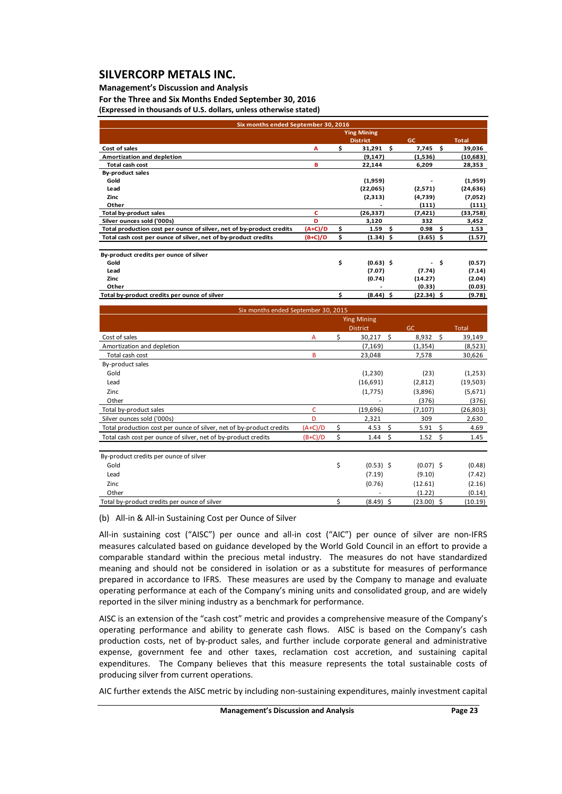### **Management's Discussion and Analysis**

**For the Three and Six Months Ended September 30, 2016 (Expressed in thousands of U.S. dollars, unless otherwise stated)**

| Six months ended September 30, 2016                                  |           |                    |             |              |
|----------------------------------------------------------------------|-----------|--------------------|-------------|--------------|
|                                                                      |           | <b>Ying Mining</b> |             |              |
|                                                                      |           | <b>District</b>    | <b>GC</b>   | <b>Total</b> |
| Cost of sales                                                        | Α         | \$<br>\$<br>31,291 | 7,745 \$    | 39,036       |
| Amortization and depletion                                           |           | (9, 147)           | (1,536)     | (10,683)     |
| <b>Total cash cost</b>                                               | B         | 22,144             | 6,209       | 28,353       |
| <b>By-product sales</b>                                              |           |                    |             |              |
| Gold                                                                 |           | (1,959)            |             | (1,959)      |
| Lead                                                                 |           | (22,065)           | (2,571)     | (24, 636)    |
| Zinc                                                                 |           | (2,313)            | (4,739)     | (7,052)      |
| Other                                                                |           |                    | (111)       | (111)        |
| Total by-product sales                                               | c         | (26, 337)          | (7, 421)    | (33,758)     |
| Silver ounces sold ('000s)                                           | D         | 3,120              | 332         | 3,452        |
| Total production cost per ounce of silver, net of by-product credits | $(A+C)/D$ | \$<br>1.59<br>\$.  | 0.98<br>- S | 1.53         |
| Total cash cost per ounce of silver, net of by-product credits       | $(B+C)/D$ | \$<br>$(1.34)$ \$  | $(3.65)$ \$ | (1.57)       |
| By-product credits per ounce of silver                               |           |                    |             |              |
| Gold                                                                 |           | \$<br>$(0.63)$ \$  | - \$        | (0.57)       |
| Lead                                                                 |           | (7.07)             | (7.74)      | (7.14)       |
| Zinc                                                                 |           | (0.74)             | (14.27)     | (2.04)       |
| Other                                                                |           |                    | (0.33)      | (0.03)       |
| Total by-product credits per ounce of silver                         |           | \$<br>$(8.44)$ \$  | (22.34) \$  | (9.78)       |
|                                                                      |           |                    |             |              |

|                                                                      |                                                                                                                |  | <b>Ying Mining</b> |              |      |              |
|----------------------------------------------------------------------|----------------------------------------------------------------------------------------------------------------|--|--------------------|--------------|------|--------------|
|                                                                      | Six months ended September 30, 2015<br>Ś<br>А<br>B<br>C<br>D<br>\$<br>$(A+C)/D$<br>\$<br>$(B+C)/D$<br>\$<br>\$ |  | <b>District</b>    | GC           |      | <b>Total</b> |
| Cost of sales                                                        |                                                                                                                |  | 30,217             | - Ś<br>8,932 | - Ś  | 39,149       |
| Amortization and depletion                                           |                                                                                                                |  | (7, 169)           | (1, 354)     |      | (8,523)      |
| Total cash cost                                                      |                                                                                                                |  | 23,048             | 7,578        |      | 30,626       |
| By-product sales                                                     |                                                                                                                |  |                    |              |      |              |
| Gold                                                                 |                                                                                                                |  | (1,230)            | (23)         |      | (1,253)      |
| Lead                                                                 |                                                                                                                |  | (16,691)           | (2,812)      |      | (19, 503)    |
| Zinc                                                                 |                                                                                                                |  | (1,775)            | (3,896)      |      | (5,671)      |
| Other                                                                |                                                                                                                |  |                    | (376)        |      | (376)        |
| Total by-product sales                                               |                                                                                                                |  | (19,696)           | (7, 107)     |      | (26, 803)    |
| Silver ounces sold ('000s)                                           |                                                                                                                |  | 2,321              | 309          |      | 2,630        |
| Total production cost per ounce of silver, net of by-product credits |                                                                                                                |  | 4.53               | - \$<br>5.91 | Ŝ.   | 4.69         |
| Total cash cost per ounce of silver, net of by-product credits       |                                                                                                                |  | 1.44               | -\$<br>1.52  | - \$ | 1.45         |
| By-product credits per ounce of silver                               |                                                                                                                |  |                    |              |      |              |
| Gold                                                                 |                                                                                                                |  | $(0.53)$ \$        | $(0.07)$ \$  |      | (0.48)       |
| Lead                                                                 |                                                                                                                |  | (7.19)             | (9.10)       |      | (7.42)       |
| Zinc                                                                 |                                                                                                                |  | (0.76)             | (12.61)      |      | (2.16)       |
| Other                                                                |                                                                                                                |  |                    | (1.22)       |      | (0.14)       |
| Total by-product credits per ounce of silver                         |                                                                                                                |  | (8.49) \$          | $(23.00)$ \$ |      | (10.19)      |

(b) All‐in & All‐in Sustaining Cost per Ounce of Silver

All-in sustaining cost ("AISC") per ounce and all-in cost ("AIC") per ounce of silver are non-IFRS measures calculated based on guidance developed by the World Gold Council in an effort to provide a comparable standard within the precious metal industry. The measures do not have standardized meaning and should not be considered in isolation or as a substitute for measures of performance prepared in accordance to IFRS. These measures are used by the Company to manage and evaluate operating performance at each of the Company's mining units and consolidated group, and are widely reported in the silver mining industry as a benchmark for performance.

AISC is an extension of the "cash cost" metric and provides a comprehensive measure of the Company's operating performance and ability to generate cash flows. AISC is based on the Company's cash production costs, net of by-product sales, and further include corporate general and administrative expense, government fee and other taxes, reclamation cost accretion, and sustaining capital expenditures. The Company believes that this measure represents the total sustainable costs of producing silver from current operations.

AIC further extends the AISC metric by including non‐sustaining expenditures, mainly investment capital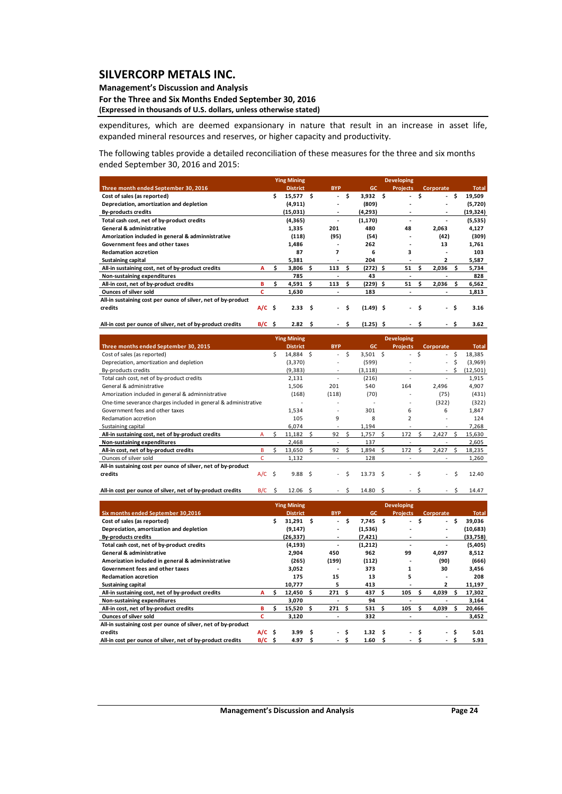### **Management's Discussion and Analysis**

#### **For the Three and Six Months Ended September 30, 2016 (Expressed in thousands of U.S. dollars, unless otherwise stated)**

expenditures, which are deemed expansionary in nature that result in an increase in asset life, expanded mineral resources and reserves, or higher capacity and productivity.

The following tables provide a detailed reconciliation of these measures for the three and six months ended September 30, 2016 and 2015:

|                                                               |             |    | <b>Ying Mining</b> |     |            |      |                    | <b>Developing</b>        |      |           |     |              |
|---------------------------------------------------------------|-------------|----|--------------------|-----|------------|------|--------------------|--------------------------|------|-----------|-----|--------------|
| Three month ended September 30, 2016                          |             |    | <b>District</b>    |     | <b>BYP</b> |      | GC                 | <b>Projects</b>          |      | Corporate |     | <b>Total</b> |
| Cost of sales (as reported)                                   |             | \$ | 15.577S            |     | ÷.         | \$.  | 3.932 <sub>5</sub> | $\overline{\phantom{a}}$ | \$   | $\sim$    | \$. | 19,509       |
| Depreciation, amortization and depletion                      |             |    | (4, 911)           |     |            |      | (809)              |                          |      | ۰         |     | (5,720)      |
| <b>By-products credits</b>                                    |             |    | (15,031)           |     | ۰          |      | (4,293)            |                          |      | ٠         |     | (19,324)     |
| Total cash cost, net of by-product credits                    |             |    | (4, 365)           |     |            |      | (1, 170)           |                          |      |           |     | (5,535)      |
| <b>General &amp; administrative</b>                           |             |    | 1,335              |     | 201        |      | 480                | 48                       |      | 2,063     |     | 4,127        |
| Amorization included in general & adminnistrative             |             |    | (118)              |     | (95)       |      | (54)               |                          |      | (42)      |     | (309)        |
| Government fees and other taxes                               |             |    | 1,486              |     |            |      | 262                |                          |      | 13        |     | 1,761        |
| <b>Reclamation accretion</b>                                  |             |    | 87                 |     | 7          |      | 6                  | 3                        |      |           |     | 103          |
| <b>Sustaining capital</b>                                     |             |    | 5,381              |     |            |      | 204                |                          |      | 2         |     | 5,587        |
| All-in sustaining cost, net of by-product credits             | А           | s  | 3,806              | S   | 113        | -S   | $(272)$ \$         | 51                       | Ŝ    | 2,036     | s   | 5,734        |
| Non-sustaining expenditures                                   |             |    | 785                |     |            |      | 43                 |                          |      |           |     | 828          |
| All-in cost, net of by-product credits                        | в           | s  | 4,591              | Ŝ   | 113        |      | $(229)$ \$         | 51                       |      | 2,036     |     | 6,562        |
| <b>Ounces of silver sold</b>                                  | с           |    | 1.630              |     |            |      | 183                | ۰                        |      | ٠         |     | 1,813        |
| All-in sustaining cost per ounce of silver, net of by-product |             |    |                    |     |            |      |                    |                          |      |           |     |              |
| credits                                                       | $A/C$ \$    |    | 2.33 <sub>5</sub>  |     | $\sim$     | Ŝ.   | $(1.49)$ \$        |                          | - \$ | - \$      |     | 3.16         |
| All-in cost per ounce of silver, net of by-product credits    | $B/C \cong$ |    | 2.82               | - S |            | - \$ | $(1.25)$ \$        |                          |      | - S       |     | 3.62         |

|                                                                 |     |     | <b>Ying Mining</b> |   |                |     |                 |    | <b>Developing</b>        |    |           |    |              |
|-----------------------------------------------------------------|-----|-----|--------------------|---|----------------|-----|-----------------|----|--------------------------|----|-----------|----|--------------|
| Three months ended September 30, 2015                           |     |     | <b>District</b>    |   | <b>BYP</b>     |     | <b>GC</b>       |    | <b>Projects</b>          |    | Corporate |    | <b>Total</b> |
| Cost of sales (as reported)                                     |     | Ś.  | 14,884 \$          |   | ÷.             | Ŝ.  | $3,501$ \$      |    | $\overline{\phantom{0}}$ | Ś  | $\sim$    | Ŝ. | 18,385       |
| Depreciation, amortization and depletion                        |     |     | (3, 370)           |   |                |     | (599)           |    |                          |    | $\sim$    | Ś  | (3,969)      |
| By-products credits                                             |     |     | (9, 383)           |   | ٠              |     | (3, 118)        |    |                          |    | $\sim$    | S  | (12, 501)    |
| Total cash cost, net of by-product credits                      |     |     | 2,131              |   |                |     | (216)           |    |                          |    |           |    | 1,915        |
| General & administrative                                        |     |     | 1,506              |   | 201            |     | 540             |    | 164                      |    | 2,496     |    | 4,907        |
| Amorization included in general & adminnistrative               |     |     | (168)              |   | (118)          |     | (70)            |    |                          |    | (75)      |    | (431)        |
| One-time severance charges included in general & administrative |     |     |                    |   |                |     |                 |    |                          |    | (322)     |    | (322)        |
| Government fees and other taxes                                 |     |     | 1,534              |   |                |     | 301             |    | 6                        |    | 6         |    | 1,847        |
| Reclamation accretion                                           |     |     | 105                |   | 9              |     | 8               |    | $\overline{2}$           |    | ٠         |    | 124          |
| Sustaining capital                                              |     |     | 6,074              |   |                |     | 1,194           |    |                          |    |           |    | 7,268        |
| All-in sustaining cost, net of by-product credits               | A   | ς.  | 11,182             | s | 92             | S   | 1,757           | .s | 172                      |    | 2,427     | Ś. | 15,630       |
| Non-sustaining expenditures                                     |     |     | 2,468              |   |                |     | 137             |    |                          |    |           |    | 2,605        |
| All-in cost, net of by-product credits                          | B   | ς.  | 13,650             | S | 92             | Ŝ.  | 1,894           | S  | 172                      |    | 2,427     | Ś. | 18,235       |
| Ounces of silver sold                                           | C   |     | 1,132              |   |                |     | 128             |    |                          |    |           |    | 1,260        |
| All-in sustaining cost per ounce of silver, net of by-product   |     |     |                    |   |                |     |                 |    |                          |    |           |    |              |
| credits                                                         | A/C | - Ś | 9.88 <sub>5</sub>  |   | $\overline{a}$ | \$. | $13.73 \quad S$ |    | $\sim$                   | Ŝ. | $\sim$    | Ŝ  | 12.40        |
|                                                                 |     |     |                    |   |                |     |                 |    |                          |    |           |    |              |

All-in cost per ounce of silver, net of by-product credits <br>B/C \$ 12.06 \$ - \$ 14.80 \$ - \$ 5 14.47

|                                                               |          |      | <b>Ying Mining</b> |   |            |     |                   |   | <b>Developing</b>        |      |                |      |              |
|---------------------------------------------------------------|----------|------|--------------------|---|------------|-----|-------------------|---|--------------------------|------|----------------|------|--------------|
| Six months ended September 30,2016                            |          |      | <b>District</b>    |   | <b>BYP</b> |     | <b>GC</b>         |   | <b>Projects</b>          |      | Corporate      |      | <b>Total</b> |
| Cost of sales (as reported)                                   |          | \$   | $31,291$ \$        |   | $\sim$     | Ŝ.  | 7,745 \$          |   | $\overline{\phantom{a}}$ | - Ś  |                | - \$ | 39,036       |
| Depreciation, amortization and depletion                      |          |      | (9, 147)           |   |            |     | (1,536)           |   |                          |      | $\overline{a}$ |      | (10,683)     |
| <b>By-products credits</b>                                    |          |      | (26,337)           |   | ٠          |     | (7,421)           |   |                          |      | ٠              |      | (33,758)     |
| Total cash cost, net of by-product credits                    |          |      | (4, 193)           |   | ۰          |     | (1,212)           |   |                          |      |                |      | (5,405)      |
| <b>General &amp; administrative</b>                           |          |      | 2,904              |   | 450        |     | 962               |   | 99                       |      | 4,097          |      | 8,512        |
| Amorization included in general & adminnistrative             |          |      | (265)              |   | (199)      |     | (112)             |   |                          |      | (90)           |      | (666)        |
| Government fees and other taxes                               |          |      | 3,052              |   |            |     | 373               |   | 1                        |      | 30             |      | 3,456        |
| <b>Reclamation accretion</b>                                  |          |      | 175                |   | 15         |     | 13                |   | 5                        |      |                |      | 208          |
| <b>Sustaining capital</b>                                     |          |      | 10,777             |   | 5          |     | 413               |   |                          |      | 2              |      | 11,197       |
| All-in sustaining cost, net of by-product credits             | A        | \$.  | 12,450             | S | 271        | - S | 437               |   | 105                      |      | 4,039          | Ŝ    | 17,302       |
| Non-sustaining expenditures                                   |          |      | 3,070              |   |            |     | 94                |   |                          |      |                |      | 3,164        |
| All-in cost, net of by-product credits                        | в        |      | $15,520$ \$        |   | 271S       |     | 531               | Ŝ | 105                      | s    | 4,039          | s.   | 20,466       |
| <b>Ounces of silver sold</b>                                  | c        |      | 3,120              |   | ۰          |     | 332               |   |                          |      |                |      | 3,452        |
| All-in sustaining cost per ounce of silver, net of by-product |          |      |                    |   |            |     |                   |   |                          |      |                |      |              |
| credits                                                       | $A/C$ \$ |      | 3.99               | S |            | - S | 1.32 <sub>5</sub> |   |                          | - \$ | $\sim$         | S    | 5.01         |
| All-in cost per ounce of silver, net of by-product credits    | B/C      | - \$ | 4.97               | s |            | s   | 1.60              |   |                          |      |                | \$   | 5.93         |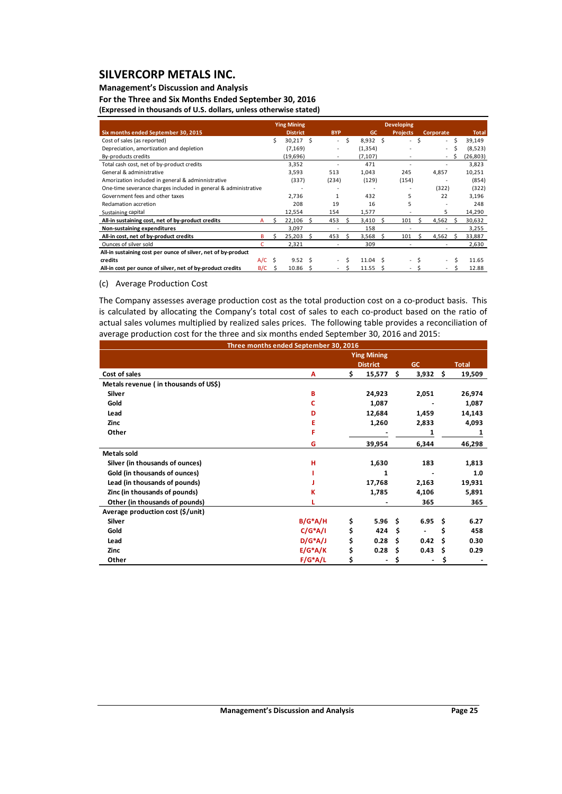### **Management's Discussion and Analysis**

**For the Three and Six Months Ended September 30, 2016 (Expressed in thousands of U.S. dollars, unless otherwise stated)**

|                                                                 |          |    | <b>Ying Mining</b> |    | <b>Developing</b> |    |                  |   |                 |    |                  |    |              |
|-----------------------------------------------------------------|----------|----|--------------------|----|-------------------|----|------------------|---|-----------------|----|------------------|----|--------------|
| Six months ended September 30, 2015                             |          |    | <b>District</b>    |    | <b>BYP</b>        |    | GC               |   | <b>Projects</b> |    | <b>Corporate</b> |    | <b>Total</b> |
| Cost of sales (as reported)                                     |          | Ś. | $30,217$ \$        |    | a.                | Ŝ. | $8,932 \quad $$  |   | $\sim$          | \$ | $\sim$           | -Ś | 39,149       |
| Depreciation, amortization and depletion                        |          |    | (7, 169)           |    |                   |    | (1, 354)         |   |                 |    | $\sim$           | \$ | (8, 523)     |
| By-products credits                                             |          |    | (19, 696)          |    |                   |    | (7, 107)         |   |                 |    |                  | S  | (26, 803)    |
| Total cash cost, net of by-product credits                      |          |    | 3,352              |    |                   |    | 471              |   |                 |    |                  |    | 3,823        |
| General & administrative                                        |          |    | 3,593              |    | 513               |    | 1,043            |   | 245             |    | 4,857            |    | 10,251       |
| Amorization included in general & adminnistrative               |          |    | (337)              |    | (234)             |    | (129)            |   | (154)           |    |                  |    | (854)        |
| One-time severance charges included in general & administrative |          |    |                    |    |                   |    |                  |   |                 |    | (322)            |    | (322)        |
| Government fees and other taxes                                 |          |    | 2,736              |    |                   |    | 432              |   | 5               |    | 22               |    | 3,196        |
| Reclamation accretion                                           |          |    | 208                |    | 19                |    | 16               |   | 5               |    |                  |    | 248          |
| Sustaining capital                                              |          |    | 12,554             |    | 154               |    | 1,577            |   |                 |    | 5                |    | 14,290       |
| All-in sustaining cost, net of by-product credits               | А        |    | 22,106             | Ŝ. | 453               |    | 3,410            | S | 101             |    | 4,562            |    | 30,632       |
| Non-sustaining expenditures                                     |          |    | 3,097              |    |                   |    | 158              |   |                 |    |                  |    | 3,255        |
| All-in cost, net of by-product credits                          | в        |    | 25,203             | S  | 453               |    | 3,568            | S | 101             |    | 4,562            |    | 33,887       |
| Ounces of silver sold                                           |          |    | 2,321              |    |                   |    | 309              |   |                 |    |                  |    | 2,630        |
| All-in sustaining cost per ounce of silver, net of by-product   |          |    |                    |    |                   |    |                  |   |                 |    |                  |    |              |
| credits                                                         | $A/C$ \$ |    | $9.52 \quad S$     |    |                   |    | $11.04 \quad$ \$ |   | ٠               |    | $\sim$           | Ś  | 11.65        |
| All-in cost per ounce of silver, net of by-product credits      | B/C      | S  | 10.86              | S  |                   |    | 11.55            | S |                 |    |                  | ς  | 12.88        |

#### (c) Average Production Cost

The Company assesses average production cost as the total production cost on a co-product basis. This is calculated by allocating the Company's total cost of sales to each co-product based on the ratio of actual sales volumes multiplied by realized sales prices. The following table provides a reconciliation of average production cost for the three and six months ended September 30, 2016 and 2015:

|                                       | Three months ended September 30, 2016 |                    |    |           |      |              |
|---------------------------------------|---------------------------------------|--------------------|----|-----------|------|--------------|
|                                       |                                       | <b>Ying Mining</b> |    |           |      |              |
|                                       |                                       | <b>District</b>    |    | <b>GC</b> |      | <b>Total</b> |
| Cost of sales                         | A                                     | \$<br>15,577       | Ŝ. | 3,932     | Ŝ.   | 19,509       |
| Metals revenue (in thousands of US\$) |                                       |                    |    |           |      |              |
| <b>Silver</b>                         | B                                     | 24,923             |    | 2,051     |      | 26,974       |
| Gold                                  | c                                     | 1,087              |    |           |      | 1,087        |
| Lead                                  | D                                     | 12,684             |    | 1,459     |      | 14,143       |
| Zinc                                  | Е                                     | 1,260              |    | 2,833     |      | 4,093        |
| Other                                 | F                                     |                    |    | 1         |      | 1            |
|                                       | G                                     | 39,954             |    | 6,344     |      | 46,298       |
| <b>Metals sold</b>                    |                                       |                    |    |           |      |              |
| Silver (in thousands of ounces)       | н                                     | 1,630              |    | 183       |      | 1,813        |
| Gold (in thousands of ounces)         |                                       | 1                  |    |           |      | 1.0          |
| Lead (in thousands of pounds)         |                                       | 17,768             |    | 2,163     |      | 19,931       |
| Zinc (in thousands of pounds)         | К                                     | 1,785              |    | 4,106     |      | 5,891        |
| Other (in thousands of pounds)        |                                       |                    |    | 365       |      | 365          |
| Average production cost (\$/unit)     |                                       |                    |    |           |      |              |
| <b>Silver</b>                         | $B/G^*A/H$                            | \$<br>5.96         | Ŝ. | 6.95      | - \$ | 6.27         |
| Gold                                  | $C/G^*A/I$                            | \$<br>424          | Ŝ  |           | Ś    | 458          |
| Lead                                  | $D/G^*A/J$                            | \$<br>0.28         | Ŝ  | 0.42      | Ŝ    | 0.30         |
| <b>Zinc</b>                           | $E/G^*A/K$                            | \$<br>0.28         | Ŝ  | 0.43      | S    | 0.29         |
| Other                                 | $F/G^*A/L$                            | \$                 |    |           | S    |              |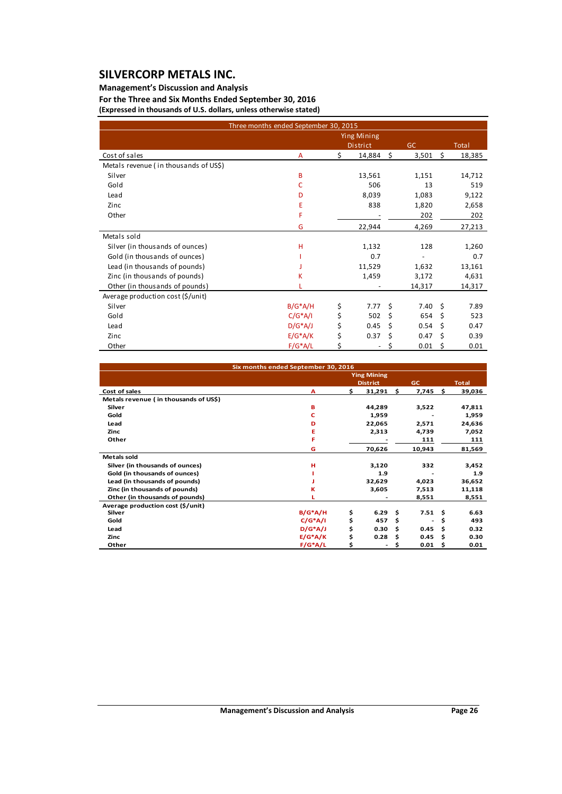Metals sold

### **Management's Discussion and Analysis**

**For the Three and Six Months Ended September 30, 2016 (Expressed in thousands of U.S. dollars, unless otherwise stated)**

| (LADI CSSCU III (HOUSAHUS OF OIS). UOHAIS, UHICSS OTHERWISE STATEU) |                                       |                                       |            |        |
|---------------------------------------------------------------------|---------------------------------------|---------------------------------------|------------|--------|
|                                                                     | Three months ended September 30, 2015 |                                       |            |        |
|                                                                     |                                       | <b>Ying Mining</b><br><b>District</b> | GC         | Total  |
| Cost of sales                                                       | A                                     | 14,884 \$                             | $3,501$ \$ | 18,385 |
| Metals revenue (in thousands of US\$)                               |                                       |                                       |            |        |
| Silver                                                              | B                                     | 13,561                                | 1,151      | 14,712 |
| Gold                                                                |                                       | 506                                   | 13         | 519    |
| Lead                                                                | D                                     | 8,039                                 | 1,083      | 9,122  |
| Zinc                                                                | E                                     | 838                                   | 1,820      | 2,658  |

Silver (in thousands of ounces) H 1,132 128 1,260 Gold (in thousands of ounces)  $\begin{array}{cccc} | & 0.7 & - & 0.7 \\ \text{lead (in thousands of pounds)} & 1.529 & 1.632 & 13.161 \end{array}$ Lead (in thousands of pounds) J Zinc (in thousands of pounds) <br>
Other (in thousands of pounds) <br>
L
Cher (in thousands of pounds) <br>
L
Cher (in thousands of pounds) <br>
L
Cher (in thousands of pounds) Other (in thousands of pounds) L 14,317 14,317 14,317 14,317 Average production cost (\$/unit) Silver B/G\*A/H \$ 7.77 \$ 7.40 \$ 7.89 Gold C/G\*A/I \$ 502 \$ 654 \$ 523 Lead D/G\*A/J \$ 0.45 \$ 0.54 \$ 0.47 Zinc E/G\*A/K \$ 0.37 \$ 0.47 \$ 0.39

Other F ‐ 202 202

| Six months ended September 30, 2016   |            |    |                    |              |        |     |              |
|---------------------------------------|------------|----|--------------------|--------------|--------|-----|--------------|
|                                       |            |    | <b>Ying Mining</b> |              |        |     |              |
|                                       |            |    | <b>District</b>    |              | GC     |     | <b>Total</b> |
| Cost of sales                         | А          | \$ | 31,291             | $\mathsf{S}$ | 7,745  | \$  | 39,036       |
| Metals revenue (in thousands of US\$) |            |    |                    |              |        |     |              |
| Silver                                | в          |    | 44,289             |              | 3,522  |     | 47,811       |
| Gold                                  | c          |    | 1,959              |              |        |     | 1,959        |
| Lead                                  | D          |    | 22,065             |              | 2,571  |     | 24,636       |
| Zinc                                  | Е          |    | 2,313              |              | 4,739  |     | 7,052        |
| Other                                 | F          |    |                    |              | 111    |     | 111          |
|                                       | G          |    | 70,626             |              | 10,943 |     | 81,569       |
| Metals sold                           |            |    |                    |              |        |     |              |
| Silver (in thousands of ounces)       | н          |    | 3,120              |              | 332    |     | 3,452        |
| Gold (in thousands of ounces)         |            |    | 1.9                |              |        |     | 1.9          |
| Lead (in thousands of pounds)         |            |    | 32,629             |              | 4,023  |     | 36,652       |
| Zinc (in thousands of pounds)         | ĸ          |    | 3,605              |              | 7,513  |     | 11,118       |
| Other (in thousands of pounds)        |            |    |                    |              | 8,551  |     | 8,551        |
| Average production cost (\$/unit)     |            |    |                    |              |        |     |              |
| Silver                                | $B/G^*A/H$ | \$ | 6.29               | Ŝ            | 7.51   | Ŝ   | 6.63         |
| Gold                                  | $C/G^*A/I$ | \$ | 457                | \$.          | ۰      | \$  | 493          |
| Lead                                  | $D/G^*A/J$ | \$ | 0.30               | \$.          | 0.45   | \$. | 0.32         |
| Zinc                                  | $E/G^*A/K$ | \$ | 0.28               | \$.          | 0.45   | \$  | 0.30         |
| Other                                 | $F/G^*A/L$ | Ś  |                    | S            | 0.01   | \$  | 0.01         |

Other **E**/G<sup>\*</sup>A/L  $\zeta$  -  $\zeta$  0.01  $\zeta$  0.01  $\zeta$ 

G 22,944 4,269 27,213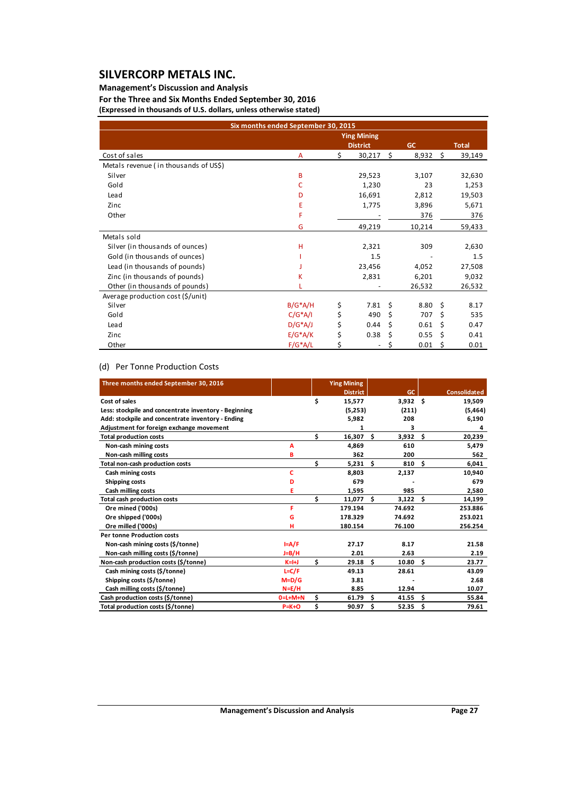### **Management's Discussion and Analysis**

**For the Three and Six Months Ended September 30, 2016 (Expressed in thousands of U.S. dollars, unless otherwise stated)**

| Six months ended September 30, 2015   |            |    |                    |    |           |    |              |
|---------------------------------------|------------|----|--------------------|----|-----------|----|--------------|
|                                       |            |    | <b>Ying Mining</b> |    |           |    |              |
|                                       |            |    | <b>District</b>    |    | <b>GC</b> |    | <b>Total</b> |
| Cost of sales                         | A          | Ś. | 30,217             | \$ | 8,932     | Ŝ. | 39,149       |
| Metals revenue (in thousands of US\$) |            |    |                    |    |           |    |              |
| Silver                                | B          |    | 29,523             |    | 3,107     |    | 32,630       |
| Gold                                  | C          |    | 1,230              |    | 23        |    | 1,253        |
| Lead                                  | D          |    | 16,691             |    | 2,812     |    | 19,503       |
| Zinc                                  | E          |    | 1,775              |    | 3,896     |    | 5,671        |
| Other                                 | F          |    |                    |    | 376       |    | 376          |
|                                       | G          |    | 49,219             |    | 10,214    |    | 59,433       |
| Metals sold                           |            |    |                    |    |           |    |              |
| Silver (in thousands of ounces)       | H          |    | 2,321              |    | 309       |    | 2,630        |
| Gold (in thousands of ounces)         |            |    | 1.5                |    |           |    | 1.5          |
| Lead (in thousands of pounds)         |            |    | 23,456             |    | 4,052     |    | 27,508       |
| Zinc (in thousands of pounds)         | κ          |    | 2,831              |    | 6,201     |    | 9,032        |
| Other (in thousands of pounds)        |            |    |                    |    | 26,532    |    | 26,532       |
| Average production cost (\$/unit)     |            |    |                    |    |           |    |              |
| Silver                                | $B/G^*A/H$ | \$ | 7.81               | \$ | 8.80      | Ŝ. | 8.17         |
| Gold                                  | $C/G^*A/I$ | \$ | 490                | \$ | 707       | \$ | 535          |
| Lead                                  | $D/G^*A/J$ | \$ | 0.44               | \$ | 0.61      | \$ | 0.47         |
| Zinc                                  | $E/G^*A/K$ | \$ | 0.38               | Ś  | 0.55      | \$ | 0.41         |
| Other                                 | $F/G^*A/L$ | Ś  |                    | Ś  | 0.01      | Ŝ  | 0.01         |

### (d) Per Tonne Production Costs

| Three months ended September 30, 2016                 |           |    | <b>Ying Mining</b> |     |            |     |                     |
|-------------------------------------------------------|-----------|----|--------------------|-----|------------|-----|---------------------|
|                                                       |           |    | <b>District</b>    |     | <b>GC</b>  |     | <b>Consolidated</b> |
| Cost of sales                                         |           | \$ | 15,577             |     | $3,932$ \$ |     | 19,509              |
| Less: stockpile and concentrate inventory - Beginning |           |    | (5,253)            |     | (211)      |     | (5, 464)            |
| Add: stockpile and concentrate inventory - Ending     |           |    | 5,982              |     | 208        |     | 6,190               |
| Adjustment for foreign exchange movement              |           |    | 1                  |     | 3          |     | 4                   |
| <b>Total production costs</b>                         |           | \$ | $16,307$ \$        |     | 3,932      | Ŝ.  | 20,239              |
| Non-cash mining costs                                 | A         |    | 4.869              |     | 610        |     | 5,479               |
| Non-cash milling costs                                | в         |    | 362                |     | 200        |     | 562                 |
| Total non-cash production costs                       |           | Ś  | 5,231              | Ŝ.  | 810        | Ŝ   | 6,041               |
| Cash mining costs                                     | c         |    | 8,803              |     | 2,137      |     | 10,940              |
| Shipping costs                                        | D         |    | 679                |     |            |     | 679                 |
| Cash milling costs                                    | E         |    | 1,595              |     | 985        |     | 2,580               |
| <b>Total cash production costs</b>                    |           | \$ | $11,077$ \$        |     | 3,122      | Ŝ.  | 14,199              |
| Ore mined ('000s)                                     | F         |    | 179.194            |     | 74.692     |     | 253.886             |
| Ore shipped ('000s)                                   | G         |    | 178.329            |     | 74.692     |     | 253.021             |
| Ore milled ('000s)                                    | н         |    | 180.154            |     | 76.100     |     | 256.254             |
| <b>Per tonne Production costs</b>                     |           |    |                    |     |            |     |                     |
| Non-cash mining costs (\$/tonne)                      | $I = A/F$ |    | 27.17              |     | 8.17       |     | 21.58               |
| Non-cash milling costs (\$/tonne)                     | J=B/H     |    | 2.01               |     | 2.63       |     | 2.19                |
| Non-cash production costs (\$/tonne)                  | $K=H$     | \$ | 29.18              | - Ś | 10.80      | Ŝ.  | 23.77               |
| Cash mining costs (\$/tonne)                          | $L = C/F$ |    | 49.13              |     | 28.61      |     | 43.09               |
| Shipping costs (\$/tonne)                             | $M=D/G$   |    | 3.81               |     |            |     | 2.68                |
| Cash milling costs (\$/tonne)                         | $N = E/H$ |    | 8.85               |     | 12.94      |     | 10.07               |
| Cash production costs (\$/tonne)                      | $0=L+M+N$ | \$ | 61.79              | Ŝ.  | 41.55      | Ŝ   | 55.84               |
| Total production costs (\$/tonne)                     | $P=K+O$   | \$ | 90.97              | Ŝ.  | 52.35      | \$. | 79.61               |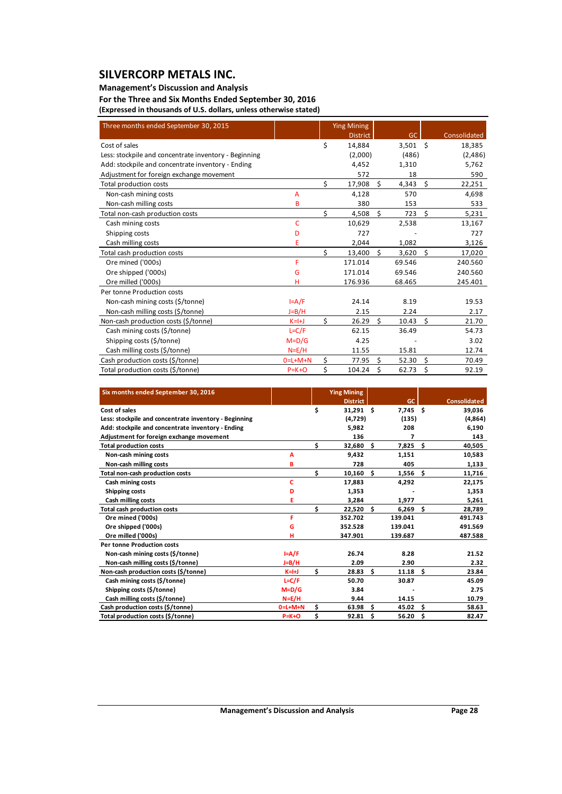### **Management's Discussion and Analysis**

**For the Three and Six Months Ended September 30, 2016 (Expressed in thousands of U.S. dollars, unless otherwise stated)**

| Three months ended September 30, 2015                 |                |    | <b>Ying Mining</b> |    |           |    |              |
|-------------------------------------------------------|----------------|----|--------------------|----|-----------|----|--------------|
|                                                       |                |    | <b>District</b>    |    | <b>GC</b> |    | Consolidated |
| Cost of sales                                         |                | \$ | 14,884             |    | 3,501     | Ŝ. | 18,385       |
| Less: stockpile and concentrate inventory - Beginning |                |    | (2,000)            |    | (486)     |    | (2,486)      |
| Add: stockpile and concentrate inventory - Ending     |                |    | 4,452              |    | 1,310     |    | 5,762        |
| Adjustment for foreign exchange movement              |                |    | 572                |    | 18        |    | 590          |
| Total production costs                                |                | \$ | 17,908             | Ś. | 4,343     | \$ | 22,251       |
| Non-cash mining costs                                 | $\overline{A}$ |    | 4,128              |    | 570       |    | 4,698        |
| Non-cash milling costs                                | B              |    | 380                |    | 153       |    | 533          |
| Total non-cash production costs                       |                | \$ | 4,508              | \$ | 723       | \$ | 5,231        |
| Cash mining costs                                     | C              |    | 10,629             |    | 2,538     |    | 13,167       |
| Shipping costs                                        | D              |    | 727                |    |           |    | 727          |
| Cash milling costs                                    | E              |    | 2,044              |    | 1,082     |    | 3,126        |
| Total cash production costs                           |                | \$ | 13,400             | \$ | 3,620     | \$ | 17,020       |
| Ore mined ('000s)                                     | F              |    | 171.014            |    | 69.546    |    | 240.560      |
| Ore shipped ('000s)                                   | G              |    | 171.014            |    | 69.546    |    | 240.560      |
| Ore milled ('000s)                                    | н              |    | 176.936            |    | 68.465    |    | 245.401      |
| Per tonne Production costs                            |                |    |                    |    |           |    |              |
| Non-cash mining costs (\$/tonne)                      | $I = A/F$      |    | 24.14              |    | 8.19      |    | 19.53        |
| Non-cash milling costs (\$/tonne)                     | $J=B/H$        |    | 2.15               |    | 2.24      |    | 2.17         |
| Non-cash production costs (\$/tonne)                  | $K=H+J$        | Ś  | 26.29              | Ś. | 10.43     | Ś. | 21.70        |
| Cash mining costs (\$/tonne)                          | $L = C/F$      |    | 62.15              |    | 36.49     |    | 54.73        |
| Shipping costs (\$/tonne)                             | $M=D/G$        |    | 4.25               |    |           |    | 3.02         |
| Cash milling costs (\$/tonne)                         | $N=E/H$        |    | 11.55              |    | 15.81     |    | 12.74        |
| Cash production costs (\$/tonne)                      | $0=L+M+N$      | \$ | 77.95              | Ś. | 52.30     | Ś. | 70.49        |
| Total production costs (\$/tonne)                     | $P = K + O$    | \$ | 104.24             | Ś  | 62.73     | Ś  | 92.19        |

| Six months ended September 30, 2016                   |             |    | <b>Ying Mining</b> |     |            |    |                     |
|-------------------------------------------------------|-------------|----|--------------------|-----|------------|----|---------------------|
|                                                       |             |    | <b>District</b>    |     | GC.        |    | <b>Consolidated</b> |
| Cost of sales                                         |             | \$ | $31,291$ \$        |     | $7,745$ \$ |    | 39,036              |
| Less: stockpile and concentrate inventory - Beginning |             |    | (4,729)            |     | (135)      |    | (4,864)             |
| Add: stockpile and concentrate inventory - Ending     |             |    | 5,982              |     | 208        |    | 6,190               |
| Adjustment for foreign exchange movement              |             |    | 136                |     | 7          |    | 143                 |
| <b>Total production costs</b>                         |             | \$ | 32,680             | - Ś | 7,825      | Ŝ. | 40,505              |
| Non-cash mining costs                                 | А           |    | 9,432              |     | 1,151      |    | 10,583              |
| Non-cash milling costs                                | в           |    | 728                |     | 405        |    | 1,133               |
| Total non-cash production costs                       |             | Ś. | 10,160             | -Ś  | 1,556      | Ŝ. | 11,716              |
| Cash mining costs                                     | c           |    | 17,883             |     | 4,292      |    | 22,175              |
| Shipping costs                                        | D           |    | 1,353              |     |            |    | 1,353               |
| Cash milling costs                                    | Е           |    | 3,284              |     | 1,977      |    | 5,261               |
| <b>Total cash production costs</b>                    |             | \$ | $22,520$ \$        |     | 6,269      | \$ | 28,789              |
| Ore mined ('000s)                                     | F           |    | 352.702            |     | 139.041    |    | 491.743             |
| Ore shipped ('000s)                                   | G           |    | 352.528            |     | 139.041    |    | 491.569             |
| Ore milled ('000s)                                    | н           |    | 347.901            |     | 139.687    |    | 487.588             |
| <b>Per tonne Production costs</b>                     |             |    |                    |     |            |    |                     |
| Non-cash mining costs (\$/tonne)                      | $I = A/F$   |    | 26.74              |     | 8.28       |    | 21.52               |
| Non-cash milling costs (\$/tonne)                     | J=B/H       |    | 2.09               |     | 2.90       |    | 2.32                |
| Non-cash production costs (\$/tonne)                  | $K=H$       | \$ | 28.83              | - Ś | 11.18      | Ś  | 23.84               |
| Cash mining costs (\$/tonne)                          | $L = C/F$   |    | 50.70              |     | 30.87      |    | 45.09               |
| Shipping costs (\$/tonne)                             | $M=D/G$     |    | 3.84               |     |            |    | 2.75                |
| Cash milling costs (\$/tonne)                         | $N = E/H$   |    | 9.44               |     | 14.15      |    | 10.79               |
| Cash production costs (\$/tonne)                      | $0=L+M+N$   | \$ | 63.98              | Ŝ.  | 45.02      | Ŝ. | 58.63               |
| Total production costs (\$/tonne)                     | $P = K + O$ | \$ | 92.81              | Ŝ   | 56.20      | \$ | 82.47               |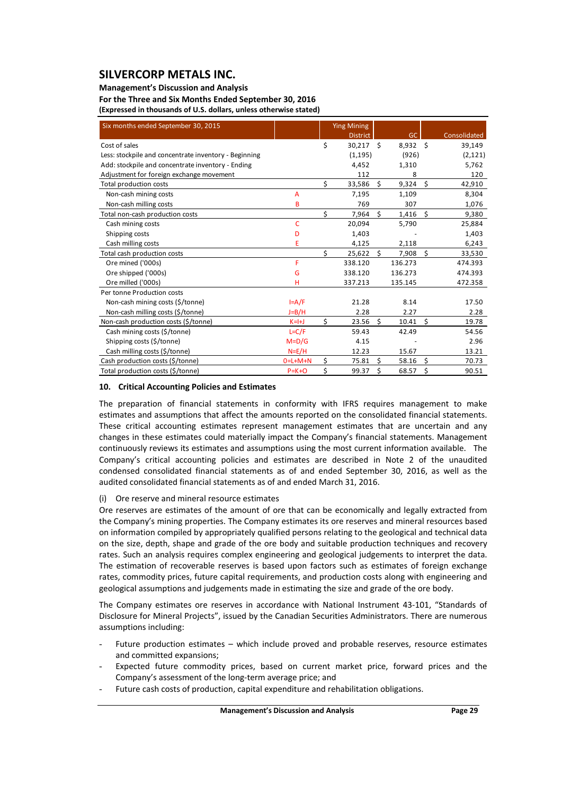#### **Management's Discussion and Analysis**

**For the Three and Six Months Ended September 30, 2016 (Expressed in thousands of U.S. dollars, unless otherwise stated)**

| Six months ended September 30, 2015                   |                |    | <b>Ying Mining</b> |                     |            |      |              |
|-------------------------------------------------------|----------------|----|--------------------|---------------------|------------|------|--------------|
|                                                       |                |    | <b>District</b>    |                     | GC         |      | Consolidated |
| Cost of sales                                         |                | \$ | 30,217 \$          |                     | $8,932$ \$ |      | 39,149       |
| Less: stockpile and concentrate inventory - Beginning |                |    | (1, 195)           |                     | (926)      |      | (2, 121)     |
| Add: stockpile and concentrate inventory - Ending     |                |    | 4,452              |                     | 1,310      |      | 5,762        |
| Adjustment for foreign exchange movement              |                |    | 112                |                     | 8          |      | 120          |
| Total production costs                                |                | \$ | 33,586 \$          |                     | $9,324$ \$ |      | 42,910       |
| Non-cash mining costs                                 | $\overline{A}$ |    | 7,195              |                     | 1,109      |      | 8,304        |
| Non-cash milling costs                                | B              |    | 769                |                     | 307        |      | 1,076        |
| Total non-cash production costs                       |                | \$ | 7,964              | Ś.                  | 1,416      | Ŝ.   | 9,380        |
| Cash mining costs                                     | C              |    | 20,094             |                     | 5,790      |      | 25,884       |
| Shipping costs                                        | D              |    | 1,403              |                     |            |      | 1,403        |
| Cash milling costs                                    | E              |    | 4,125              |                     | 2,118      |      | 6,243        |
| Total cash production costs                           |                | Ś  | $25,622$ \$        |                     | 7,908      | Ŝ.   | 33,530       |
| Ore mined ('000s)                                     | F              |    | 338.120            |                     | 136.273    |      | 474.393      |
| Ore shipped ('000s)                                   | G              |    | 338.120            |                     | 136.273    |      | 474.393      |
| Ore milled ('000s)                                    | н              |    | 337.213            |                     | 135.145    |      | 472.358      |
| Per tonne Production costs                            |                |    |                    |                     |            |      |              |
| Non-cash mining costs (\$/tonne)                      | $I = A/F$      |    | 21.28              |                     | 8.14       |      | 17.50        |
| Non-cash milling costs (\$/tonne)                     | $J=B/H$        |    | 2.28               |                     | 2.27       |      | 2.28         |
| Non-cash production costs (\$/tonne)                  | $K=H$          | \$ | 23.56              | $\ddot{\mathsf{S}}$ | 10.41      | - \$ | 19.78        |
| Cash mining costs (\$/tonne)                          | $L = C/F$      |    | 59.43              |                     | 42.49      |      | 54.56        |
| Shipping costs (\$/tonne)                             | $M=D/G$        |    | 4.15               |                     |            |      | 2.96         |
| Cash milling costs (\$/tonne)                         | $N=E/H$        |    | 12.23              |                     | 15.67      |      | 13.21        |
| Cash production costs (\$/tonne)                      | $0=L+M+N$      | \$ | 75.81              | Ś.                  | 58.16      | \$   | 70.73        |
| Total production costs (\$/tonne)                     | $P = K + O$    | \$ | 99.37              | \$                  | 68.57      | \$   | 90.51        |

#### **10. Critical Accounting Policies and Estimates**

The preparation of financial statements in conformity with IFRS requires management to make estimates and assumptions that affect the amounts reported on the consolidated financial statements. These critical accounting estimates represent management estimates that are uncertain and any changes in these estimates could materially impact the Company's financial statements. Management continuously reviews its estimates and assumptions using the most current information available. The Company's critical accounting policies and estimates are described in Note 2 of the unaudited condensed consolidated financial statements as of and ended September 30, 2016, as well as the audited consolidated financial statements as of and ended March 31, 2016.

#### (i) Ore reserve and mineral resource estimates

Ore reserves are estimates of the amount of ore that can be economically and legally extracted from the Company's mining properties. The Company estimates its ore reserves and mineral resources based on information compiled by appropriately qualified persons relating to the geological and technical data on the size, depth, shape and grade of the ore body and suitable production techniques and recovery rates. Such an analysis requires complex engineering and geological judgements to interpret the data. The estimation of recoverable reserves is based upon factors such as estimates of foreign exchange rates, commodity prices, future capital requirements, and production costs along with engineering and geological assumptions and judgements made in estimating the size and grade of the ore body.

The Company estimates ore reserves in accordance with National Instrument 43‐101, "Standards of Disclosure for Mineral Projects", issued by the Canadian Securities Administrators. There are numerous assumptions including:

- Future production estimates which include proved and probable reserves, resource estimates and committed expansions;
- Expected future commodity prices, based on current market price, forward prices and the Company's assessment of the long‐term average price; and
- Future cash costs of production, capital expenditure and rehabilitation obligations.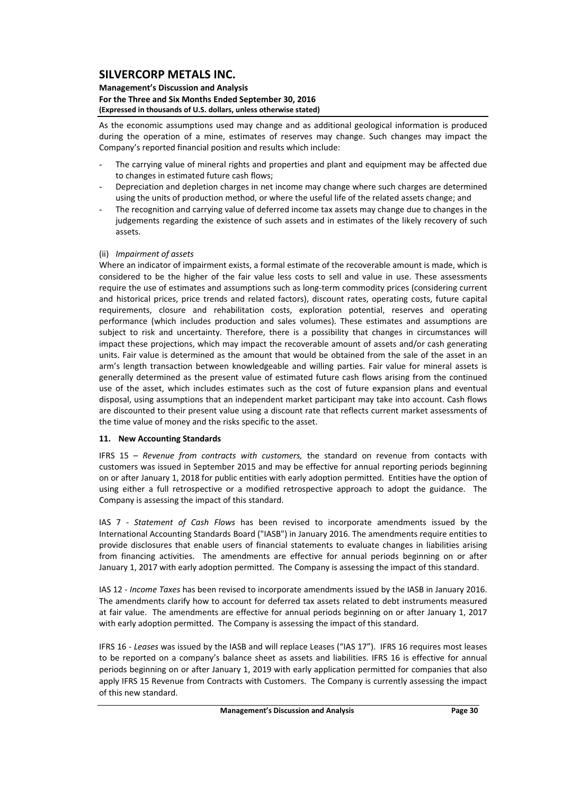#### **Management's Discussion and Analysis For the Three and Six Months Ended September 30, 2016 (Expressed in thousands of U.S. dollars, unless otherwise stated)**

As the economic assumptions used may change and as additional geological information is produced during the operation of a mine, estimates of reserves may change. Such changes may impact the Company's reported financial position and results which include:

- The carrying value of mineral rights and properties and plant and equipment may be affected due to changes in estimated future cash flows;
- Depreciation and depletion charges in net income may change where such charges are determined using the units of production method, or where the useful life of the related assets change; and
- The recognition and carrying value of deferred income tax assets may change due to changes in the judgements regarding the existence of such assets and in estimates of the likely recovery of such assets.

### (ii) *Impairment of assets*

Where an indicator of impairment exists, a formal estimate of the recoverable amount is made, which is considered to be the higher of the fair value less costs to sell and value in use. These assessments require the use of estimates and assumptions such as long‐term commodity prices (considering current and historical prices, price trends and related factors), discount rates, operating costs, future capital requirements, closure and rehabilitation costs, exploration potential, reserves and operating performance (which includes production and sales volumes). These estimates and assumptions are subject to risk and uncertainty. Therefore, there is a possibility that changes in circumstances will impact these projections, which may impact the recoverable amount of assets and/or cash generating units. Fair value is determined as the amount that would be obtained from the sale of the asset in an arm's length transaction between knowledgeable and willing parties. Fair value for mineral assets is generally determined as the present value of estimated future cash flows arising from the continued use of the asset, which includes estimates such as the cost of future expansion plans and eventual disposal, using assumptions that an independent market participant may take into account. Cash flows are discounted to their present value using a discount rate that reflects current market assessments of the time value of money and the risks specific to the asset.

#### **11. New Accounting Standards**

IFRS 15 – *Revenue from contracts with customers,* the standard on revenue from contacts with customers was issued in September 2015 and may be effective for annual reporting periods beginning on or after January 1, 2018 for public entities with early adoption permitted. Entities have the option of using either a full retrospective or a modified retrospective approach to adopt the guidance. The Company is assessing the impact of this standard.

IAS 7 ‐ *Statement of Cash Flows* has been revised to incorporate amendments issued by the International Accounting Standards Board ("IASB") in January 2016. The amendments require entities to provide disclosures that enable users of financial statements to evaluate changes in liabilities arising from financing activities. The amendments are effective for annual periods beginning on or after January 1, 2017 with early adoption permitted. The Company is assessing the impact of this standard.

IAS 12 ‐ *Income Taxes* has been revised to incorporate amendments issued by the IASB in January 2016. The amendments clarify how to account for deferred tax assets related to debt instruments measured at fair value. The amendments are effective for annual periods beginning on or after January 1, 2017 with early adoption permitted. The Company is assessing the impact of this standard.

IFRS 16 ‐ *Leases* was issued by the IASB and will replace Leases ("IAS 17"). IFRS 16 requires most leases to be reported on a company's balance sheet as assets and liabilities. IFRS 16 is effective for annual periods beginning on or after January 1, 2019 with early application permitted for companies that also apply IFRS 15 Revenue from Contracts with Customers. The Company is currently assessing the impact of this new standard.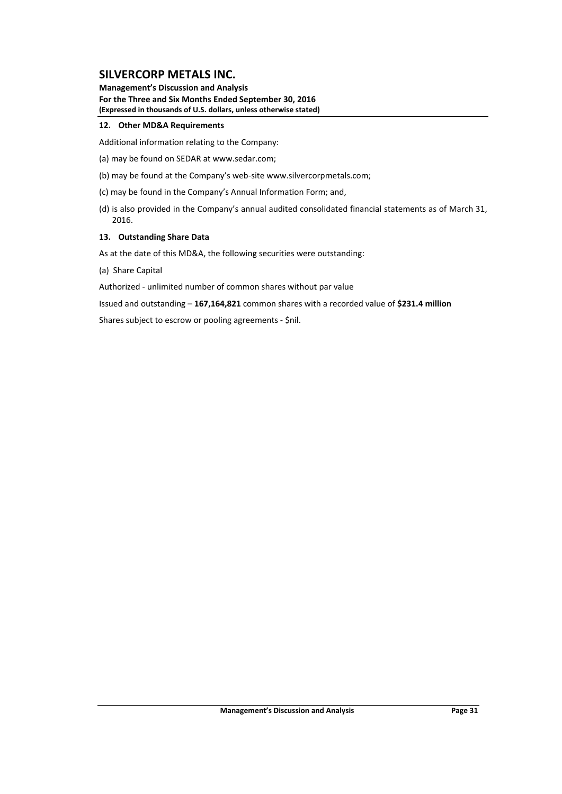**Management's Discussion and Analysis For the Three and Six Months Ended September 30, 2016 (Expressed in thousands of U.S. dollars, unless otherwise stated)**

#### **12. Other MD&A Requirements**

Additional information relating to the Company:

- (a) may be found on SEDAR at www.sedar.com;
- (b) may be found at the Company's web‐site www.silvercorpmetals.com;
- (c) may be found in the Company's Annual Information Form; and,
- (d) is also provided in the Company's annual audited consolidated financial statements as of March 31, 2016.

#### **13. Outstanding Share Data**

As at the date of this MD&A, the following securities were outstanding:

(a) Share Capital

Authorized ‐ unlimited number of common shares without par value

Issued and outstanding – **167,164,821** common shares with a recorded value of **\$231.4 million**

Shares subject to escrow or pooling agreements ‐ \$nil.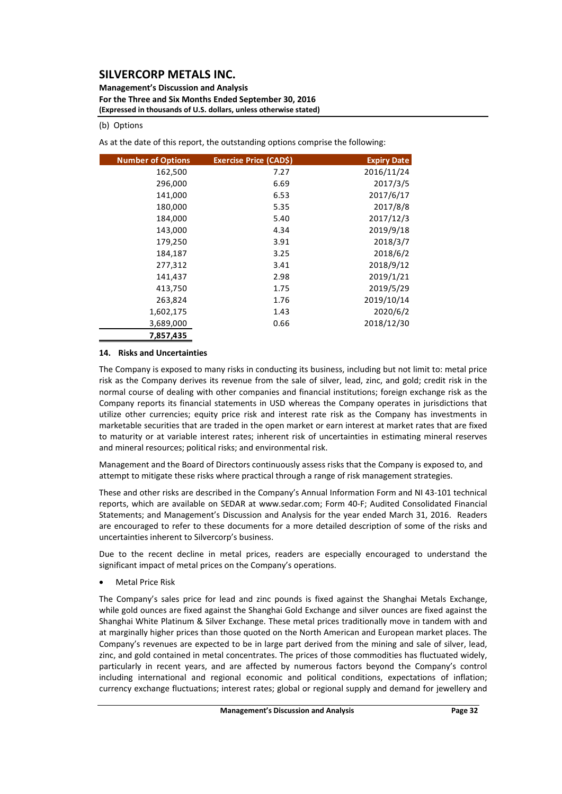**Management's Discussion and Analysis For the Three and Six Months Ended September 30, 2016 (Expressed in thousands of U.S. dollars, unless otherwise stated)**

#### (b) Options

As at the date of this report, the outstanding options comprise the following:

| <b>Number of Options</b> | Exercise Price (CAD\$) | <b>Expiry Date</b> |
|--------------------------|------------------------|--------------------|
| 162,500                  | 7.27                   | 2016/11/24         |
| 296,000                  | 6.69                   | 2017/3/5           |
| 141,000                  | 6.53                   | 2017/6/17          |
| 180,000                  | 5.35                   | 2017/8/8           |
| 184,000                  | 5.40                   | 2017/12/3          |
| 143,000                  | 4.34                   | 2019/9/18          |
| 179,250                  | 3.91                   | 2018/3/7           |
| 184,187                  | 3.25                   | 2018/6/2           |
| 277,312                  | 3.41                   | 2018/9/12          |
| 141,437                  | 2.98                   | 2019/1/21          |
| 413,750                  | 1.75                   | 2019/5/29          |
| 263,824                  | 1.76                   | 2019/10/14         |
| 1,602,175                | 1.43                   | 2020/6/2           |
| 3,689,000                | 0.66                   | 2018/12/30         |
| 7,857,435                |                        |                    |

#### **14. Risks and Uncertainties**

The Company is exposed to many risks in conducting its business, including but not limit to: metal price risk as the Company derives its revenue from the sale of silver, lead, zinc, and gold; credit risk in the normal course of dealing with other companies and financial institutions; foreign exchange risk as the Company reports its financial statements in USD whereas the Company operates in jurisdictions that utilize other currencies; equity price risk and interest rate risk as the Company has investments in marketable securities that are traded in the open market or earn interest at market rates that are fixed to maturity or at variable interest rates; inherent risk of uncertainties in estimating mineral reserves and mineral resources; political risks; and environmental risk.

Management and the Board of Directors continuously assess risks that the Company is exposed to, and attempt to mitigate these risks where practical through a range of risk management strategies.

These and other risks are described in the Company's Annual Information Form and NI 43‐101 technical reports, which are available on SEDAR at www.sedar.com; Form 40‐F; Audited Consolidated Financial Statements; and Management's Discussion and Analysis for the year ended March 31, 2016. Readers are encouraged to refer to these documents for a more detailed description of some of the risks and uncertainties inherent to Silvercorp's business.

Due to the recent decline in metal prices, readers are especially encouraged to understand the significant impact of metal prices on the Company's operations.

Metal Price Risk

The Company's sales price for lead and zinc pounds is fixed against the Shanghai Metals Exchange, while gold ounces are fixed against the Shanghai Gold Exchange and silver ounces are fixed against the Shanghai White Platinum & Silver Exchange. These metal prices traditionally move in tandem with and at marginally higher prices than those quoted on the North American and European market places. The Company's revenues are expected to be in large part derived from the mining and sale of silver, lead, zinc, and gold contained in metal concentrates. The prices of those commodities has fluctuated widely, particularly in recent years, and are affected by numerous factors beyond the Company's control including international and regional economic and political conditions, expectations of inflation; currency exchange fluctuations; interest rates; global or regional supply and demand for jewellery and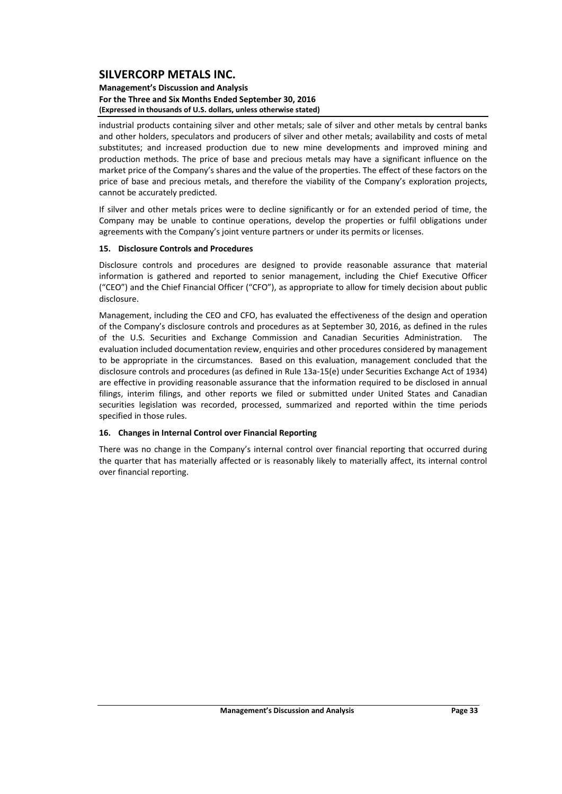#### **Management's Discussion and Analysis For the Three and Six Months Ended September 30, 2016 (Expressed in thousands of U.S. dollars, unless otherwise stated)**

industrial products containing silver and other metals; sale of silver and other metals by central banks and other holders, speculators and producers of silver and other metals; availability and costs of metal substitutes; and increased production due to new mine developments and improved mining and production methods. The price of base and precious metals may have a significant influence on the market price of the Company's shares and the value of the properties. The effect of these factors on the price of base and precious metals, and therefore the viability of the Company's exploration projects, cannot be accurately predicted.

If silver and other metals prices were to decline significantly or for an extended period of time, the Company may be unable to continue operations, develop the properties or fulfil obligations under agreements with the Company's joint venture partners or under its permits or licenses.

#### **15. Disclosure Controls and Procedures**

Disclosure controls and procedures are designed to provide reasonable assurance that material information is gathered and reported to senior management, including the Chief Executive Officer ("CEO") and the Chief Financial Officer ("CFO"), as appropriate to allow for timely decision about public disclosure.

Management, including the CEO and CFO, has evaluated the effectiveness of the design and operation of the Company's disclosure controls and procedures as at September 30, 2016, as defined in the rules of the U.S. Securities and Exchange Commission and Canadian Securities Administration. The evaluation included documentation review, enquiries and other procedures considered by management to be appropriate in the circumstances. Based on this evaluation, management concluded that the disclosure controls and procedures (as defined in Rule 13a‐15(e) under Securities Exchange Act of 1934) are effective in providing reasonable assurance that the information required to be disclosed in annual filings, interim filings, and other reports we filed or submitted under United States and Canadian securities legislation was recorded, processed, summarized and reported within the time periods specified in those rules.

#### **16. Changes in Internal Control over Financial Reporting**

There was no change in the Company's internal control over financial reporting that occurred during the quarter that has materially affected or is reasonably likely to materially affect, its internal control over financial reporting.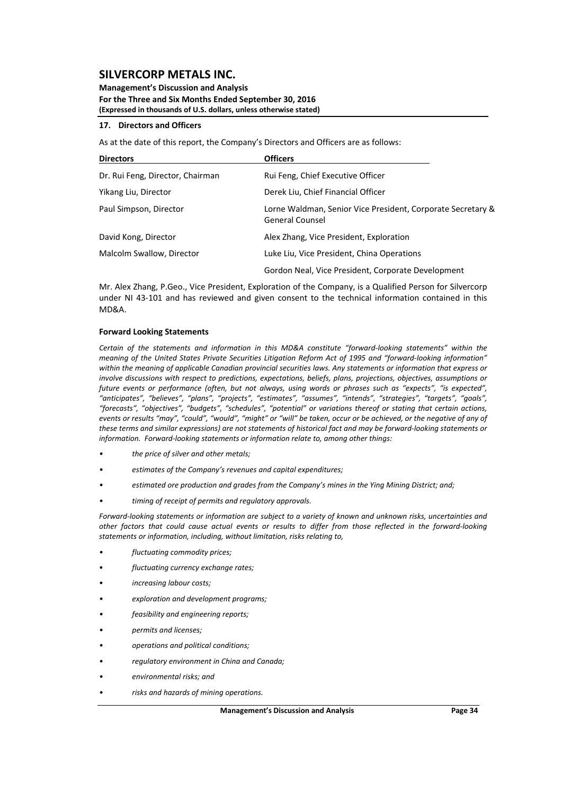**Management's Discussion and Analysis For the Three and Six Months Ended September 30, 2016 (Expressed in thousands of U.S. dollars, unless otherwise stated)**

#### **17. Directors and Officers**

As at the date of this report, the Company's Directors and Officers are as follows:

| <b>Directors</b>                 | <b>Officers</b>                                                                       |
|----------------------------------|---------------------------------------------------------------------------------------|
| Dr. Rui Feng, Director, Chairman | Rui Feng, Chief Executive Officer                                                     |
| Yikang Liu, Director             | Derek Liu, Chief Financial Officer                                                    |
| Paul Simpson, Director           | Lorne Waldman, Senior Vice President, Corporate Secretary &<br><b>General Counsel</b> |
| David Kong, Director             | Alex Zhang, Vice President, Exploration                                               |
| Malcolm Swallow, Director        | Luke Liu, Vice President, China Operations                                            |
|                                  | Gordon Neal, Vice President, Corporate Development                                    |

Mr. Alex Zhang, P.Geo., Vice President, Exploration of the Company, is a Qualified Person for Silvercorp under NI 43-101 and has reviewed and given consent to the technical information contained in this MD&A.

#### **Forward Looking Statements**

*Certain of the statements and information in this MD&A constitute "forward‐looking statements" within the* meaning of the United States Private Securities Litigation Reform Act of 1995 and "forward-looking information" within the meaning of applicable Canadian provincial securities laws. Any statements or information that express or *involve discussions with respect to predictions, expectations, beliefs, plans, projections, objectives, assumptions or* future events or performance (often, but not always, using words or phrases such as "expects", "is expected", *"anticipates", "believes", "plans", "projects", "estimates", "assumes", "intends", "strategies", "targets", "goals", "forecasts", "objectives", "budgets", "schedules", "potential" or variations thereof or stating that certain actions,* events or results "may", "could", "would", "might" or "will" be taken, occur or be achieved, or the negative of any of these terms and similar expressions) are not statements of historical fact and may be forward-looking statements or *information. Forward‐looking statements or information relate to, among other things:*

- *• the price of silver and other metals;*
- *• estimates of the Company's revenues and capital expenditures;*
- *• estimated ore production and grades from the Company's mines in the Ying Mining District; and;*
- *• timing of receipt of permits and regulatory approvals.*

Forward-looking statements or information are subject to a variety of known and unknown risks, uncertainties and other factors that could cause actual events or results to differ from those reflected in the forward-looking *statements or information, including, without limitation, risks relating to,* 

- *• fluctuating commodity prices;*
- *fluctuating currency exchange rates;*
- *increasing labour costs;*
- *• exploration and development programs;*
- *• feasibility and engineering reports;*
- *• permits and licenses;*
- *• operations and political conditions;*
- *• regulatory environment in China and Canada;*
- *• environmental risks; and*
- *• risks and hazards of mining operations.*